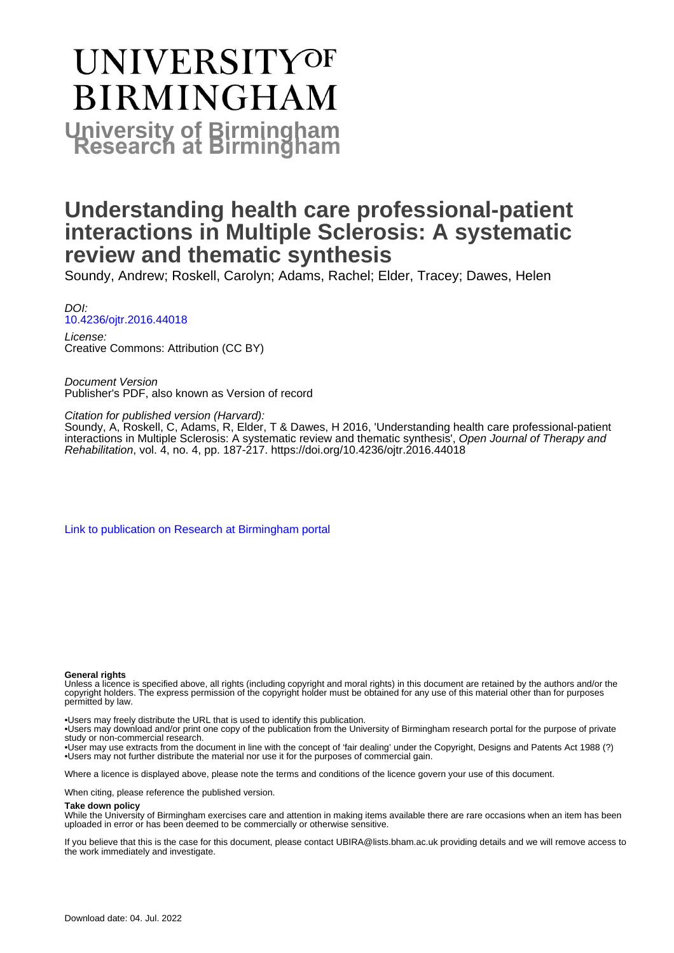# **UNIVERSITYOF BIRMINGHAM University of Birmingham**

## **Understanding health care professional-patient interactions in Multiple Sclerosis: A systematic review and thematic synthesis**

Soundy, Andrew; Roskell, Carolyn; Adams, Rachel; Elder, Tracey; Dawes, Helen

DOI: [10.4236/ojtr.2016.44018](https://doi.org/10.4236/ojtr.2016.44018)

License: Creative Commons: Attribution (CC BY)

Document Version Publisher's PDF, also known as Version of record

Citation for published version (Harvard):

Soundy, A, Roskell, C, Adams, R, Elder, T & Dawes, H 2016, 'Understanding health care professional-patient interactions in Multiple Sclerosis: A systematic review and thematic synthesis', Open Journal of Therapy and Rehabilitation, vol. 4, no. 4, pp. 187-217.<https://doi.org/10.4236/ojtr.2016.44018>

[Link to publication on Research at Birmingham portal](https://birmingham.elsevierpure.com/en/publications/463f7f38-95bb-4ce8-81ac-7b372250b521)

#### **General rights**

Unless a licence is specified above, all rights (including copyright and moral rights) in this document are retained by the authors and/or the copyright holders. The express permission of the copyright holder must be obtained for any use of this material other than for purposes permitted by law.

• Users may freely distribute the URL that is used to identify this publication.

• Users may download and/or print one copy of the publication from the University of Birmingham research portal for the purpose of private study or non-commercial research.

• User may use extracts from the document in line with the concept of 'fair dealing' under the Copyright, Designs and Patents Act 1988 (?) • Users may not further distribute the material nor use it for the purposes of commercial gain.

Where a licence is displayed above, please note the terms and conditions of the licence govern your use of this document.

When citing, please reference the published version.

#### **Take down policy**

While the University of Birmingham exercises care and attention in making items available there are rare occasions when an item has been uploaded in error or has been deemed to be commercially or otherwise sensitive.

If you believe that this is the case for this document, please contact UBIRA@lists.bham.ac.uk providing details and we will remove access to the work immediately and investigate.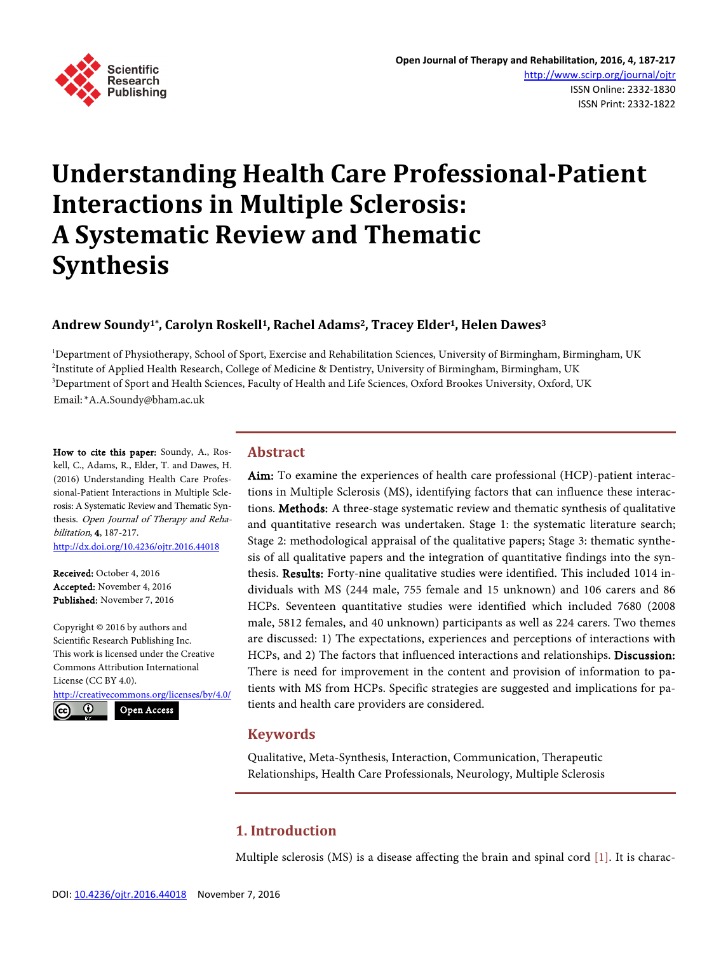

## **Understanding Health Care Professional-Patient Interactions in Multiple Sclerosis: A Systematic Review and Thematic Synthesis**

## **Andrew Soundy1\*, Carolyn Roskell1, Rachel Adams2, Tracey Elder1, Helen Dawes3**

<sup>1</sup>Department of Physiotherapy, School of Sport, Exercise and Rehabilitation Sciences, University of Birmingham, Birmingham, UK 2 Institute of Applied Health Research, College of Medicine & Dentistry, University of Birmingham, Birmingham, UK 3 Department of Sport and Health Sciences, Faculty of Health and Life Sciences, Oxford Brookes University, Oxford, UK Email: \* A.A.Soundy@bham.ac.uk

How to cite this paper: Soundy, A., Roskell, C., Adams, R., Elder, T. and Dawes, H. (2016) Understanding Health Care Professional-Patient Interactions in Multiple Sclerosis: A Systematic Review and Thematic Synthesis. Open Journal of Therapy and Rehabilitation, 4, 187-217.

<http://dx.doi.org/10.4236/ojtr.2016.44018>

Received: October 4, 2016 Accepted: November 4, 2016 Published: November 7, 2016

Copyright © 2016 by authors and Scientific Research Publishing Inc. This work is licensed under the Creative Commons Attribution International License (CC BY 4.0). <http://creativecommons.org/licenses/by/4.0/>  $\odot$ Open Access

## **Abstract**

Aim: To examine the experiences of health care professional (HCP)-patient interactions in Multiple Sclerosis (MS), identifying factors that can influence these interactions. Methods: A three-stage systematic review and thematic synthesis of qualitative and quantitative research was undertaken. Stage 1: the systematic literature search; Stage 2: methodological appraisal of the qualitative papers; Stage 3: thematic synthesis of all qualitative papers and the integration of quantitative findings into the synthesis. Results: Forty-nine qualitative studies were identified. This included 1014 individuals with MS (244 male, 755 female and 15 unknown) and 106 carers and 86 HCPs. Seventeen quantitative studies were identified which included 7680 (2008 male, 5812 females, and 40 unknown) participants as well as 224 carers. Two themes are discussed: 1) The expectations, experiences and perceptions of interactions with HCPs, and 2) The factors that influenced interactions and relationships. Discussion: There is need for improvement in the content and provision of information to patients with MS from HCPs. Specific strategies are suggested and implications for patients and health care providers are considered.

## **Keywords**

Qualitative, Meta-Synthesis, Interaction, Communication, Therapeutic Relationships, Health Care Professionals, Neurology, Multiple Sclerosis

## **1. Introduction**

Multiple sclerosis (MS) is a disease affecting the brain and spinal cord [\[1\].](#page-23-0) It is charac-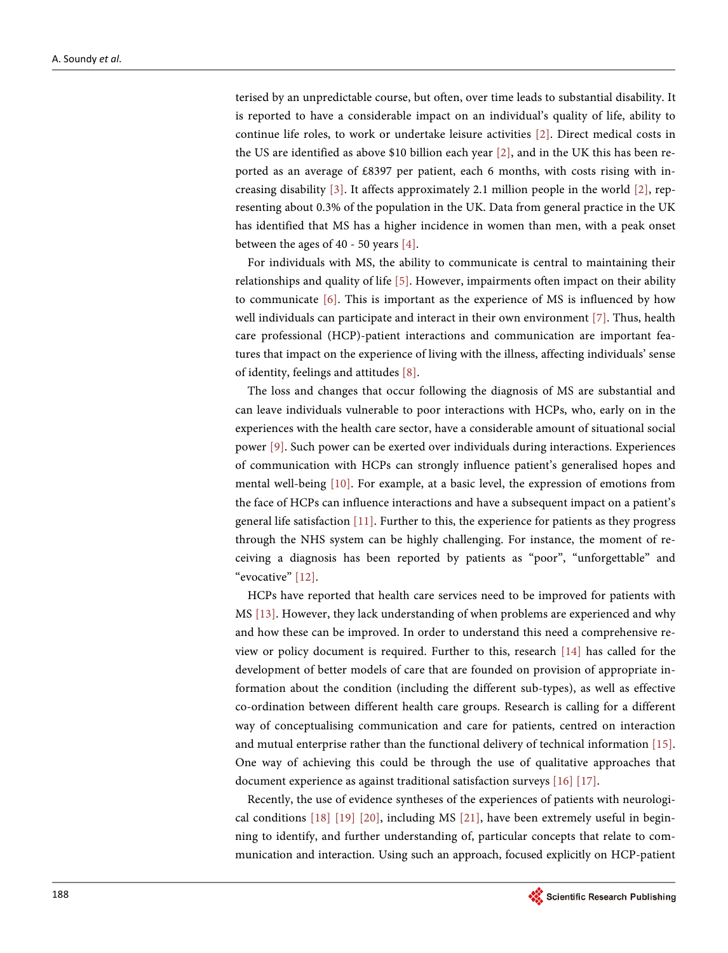terised by an unpredictable course, but often, over time leads to substantial disability. It is reported to have a considerable impact on an individual's quality of life, ability to continue life roles, to work or undertake leisure activities [\[2\].](#page-23-1) Direct medical costs in the US are identified as above \$10 billion each year [\[2\],](#page-23-1) and in the UK this has been reported as an average of £8397 per patient, each 6 months, with costs rising with increasing disability [\[3\].](#page-23-2) It affects approximately 2.1 million people in the world [\[2\],](#page-23-1) representing about 0.3% of the population in the UK. Data from general practice in the UK has identified that MS has a higher incidence in women than men, with a peak onset between the ages of 40 - 50 years  $[4]$ .

For individuals with MS, the ability to communicate is central to maintaining their relationships and quality of life [\[5\].](#page-23-4) However, impairments often impact on their ability to communicate [\[6\].](#page-23-5) This is important as the experience of MS is influenced by how well individuals can participate and interact in their own environment [\[7\].](#page-24-0) Thus, health care professional (HCP)-patient interactions and communication are important features that impact on the experience of living with the illness, affecting individuals' sense of identity, feelings and attitudes [\[8\].](#page-24-1)

The loss and changes that occur following the diagnosis of MS are substantial and can leave individuals vulnerable to poor interactions with HCPs, who, early on in the experiences with the health care sector, have a considerable amount of situational social power [\[9\].](#page-24-2) Such power can be exerted over individuals during interactions. Experiences of communication with HCPs can strongly influence patient's generalised hopes and mental well-being [\[10\].](#page-24-3) For example, at a basic level, the expression of emotions from the face of HCPs can influence interactions and have a subsequent impact on a patient's general life satisfaction [\[11\].](#page-24-4) Further to this, the experience for patients as they progress through the NHS system can be highly challenging. For instance, the moment of receiving a diagnosis has been reported by patients as "poor", "unforgettable" and "evocative" [\[12\].](#page-24-5)

HCPs have reported that health care services need to be improved for patients with MS [\[13\].](#page-24-6) However, they lack understanding of when problems are experienced and why and how these can be improved. In order to understand this need a comprehensive review or policy document is required. Further to this, research [\[14\]](#page-24-7) has called for the development of better models of care that are founded on provision of appropriate information about the condition (including the different sub-types), as well as effective co-ordination between different health care groups. Research is calling for a different way of conceptualising communication and care for patients, centred on interaction and mutual enterprise rather than the functional delivery of technical information [\[15\].](#page-24-8)  One way of achieving this could be through the use of qualitative approaches that document experience as against traditional satisfaction surveys [\[16\]](#page-24-9) [\[17\].](#page-24-10)

Recently, the use of evidence syntheses of the experiences of patients with neurological conditions [\[18\]](#page-24-11) [\[19\]](#page-24-12) [\[20\],](#page-24-13) including MS [\[21\],](#page-24-14) have been extremely useful in beginning to identify, and further understanding of, particular concepts that relate to communication and interaction. Using such an approach, focused explicitly on HCP-patient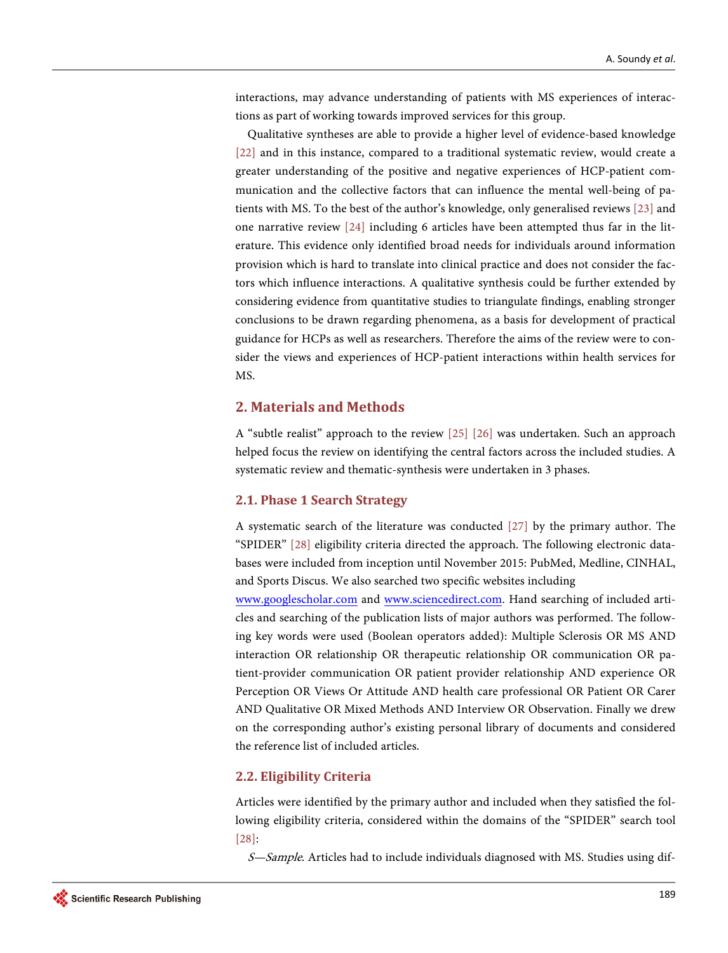interactions, may advance understanding of patients with MS experiences of interactions as part of working towards improved services for this group.

Qualitative syntheses are able to provide a higher level of evidence-based knowledge [\[22\]](#page-24-15) and in this instance, compared to a traditional systematic review, would create a greater understanding of the positive and negative experiences of HCP-patient communication and the collective factors that can influence the mental well-being of patients with MS. To the best of the author's knowledge, only generalised reviews [\[23\]](#page-25-0) and one narrative review [\[24\]](#page-25-1) including 6 articles have been attempted thus far in the literature. This evidence only identified broad needs for individuals around information provision which is hard to translate into clinical practice and does not consider the factors which influence interactions. A qualitative synthesis could be further extended by considering evidence from quantitative studies to triangulate findings, enabling stronger conclusions to be drawn regarding phenomena, as a basis for development of practical guidance for HCPs as well as researchers. Therefore the aims of the review were to consider the views and experiences of HCP-patient interactions within health services for MS.

## **2. Materials and Methods**

A "subtle realist" approach to the review [\[25\]](#page-25-2) [\[26\]](#page-25-3) was undertaken. Such an approach helped focus the review on identifying the central factors across the included studies. A systematic review and thematic-synthesis were undertaken in 3 phases.

### **2.1. Phase 1 Search Strategy**

A systematic search of the literature was conducted [\[27\]](#page-25-4) by the primary author. The "SPIDER" [\[28\]](#page-25-5) eligibility criteria directed the approach. The following electronic databases were included from inception until November 2015: PubMed, Medline, CINHAL, and Sports Discus. We also searched two specific websites including

[www.googlescholar.com](http://www.googlescholar.com/) and [www.sciencedirect.com.](http://www.sciencedirect.com/) Hand searching of included articles and searching of the publication lists of major authors was performed. The following key words were used (Boolean operators added): Multiple Sclerosis OR MS AND interaction OR relationship OR therapeutic relationship OR communication OR patient-provider communication OR patient provider relationship AND experience OR Perception OR Views Or Attitude AND health care professional OR Patient OR Carer AND Qualitative OR Mixed Methods AND Interview OR Observation. Finally we drew on the corresponding author's existing personal library of documents and considered the reference list of included articles.

#### **2.2. Eligibility Criteria**

Articles were identified by the primary author and included when they satisfied the following eligibility criteria, considered within the domains of the "SPIDER" search tool [\[28\]:](#page-25-5) 

S-Sample. Articles had to include individuals diagnosed with MS. Studies using dif-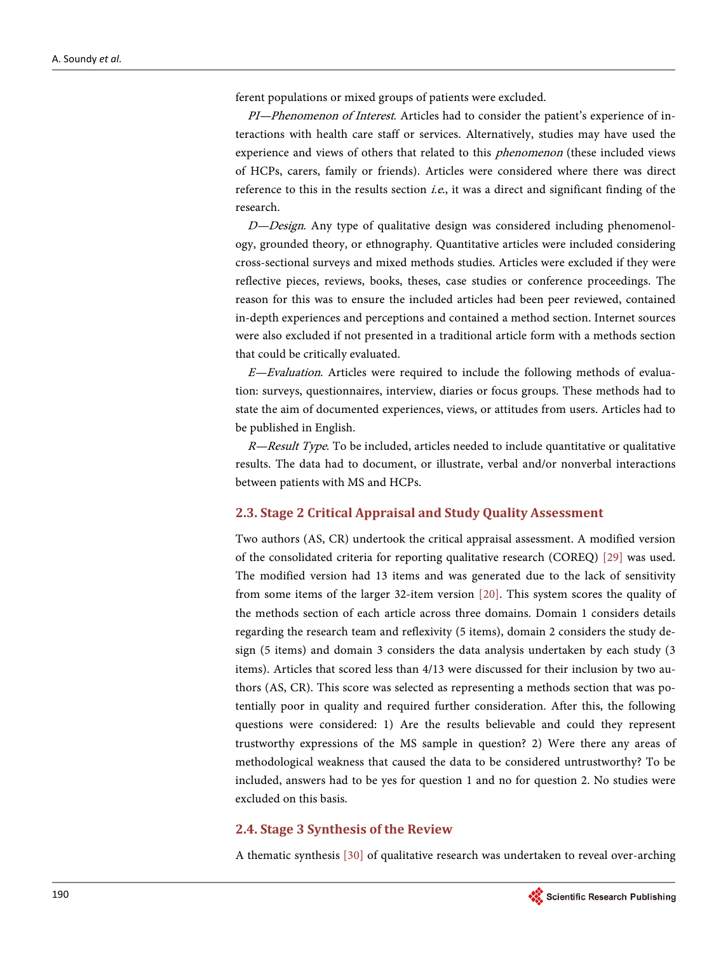ferent populations or mixed groups of patients were excluded.

PI—Phenomenon of Interest. Articles had to consider the patient's experience of interactions with health care staff or services. Alternatively, studies may have used the experience and views of others that related to this *phenomenon* (these included views of HCPs, carers, family or friends). Articles were considered where there was direct reference to this in the results section *i.e.*, it was a direct and significant finding of the research.

 $D$ —Design. Any type of qualitative design was considered including phenomenology, grounded theory, or ethnography. Quantitative articles were included considering cross-sectional surveys and mixed methods studies. Articles were excluded if they were reflective pieces, reviews, books, theses, case studies or conference proceedings. The reason for this was to ensure the included articles had been peer reviewed, contained in-depth experiences and perceptions and contained a method section. Internet sources were also excluded if not presented in a traditional article form with a methods section that could be critically evaluated.

 $E$ —Evaluation. Articles were required to include the following methods of evaluation: surveys, questionnaires, interview, diaries or focus groups. These methods had to state the aim of documented experiences, views, or attitudes from users. Articles had to be published in English.

 $R$ —Result Type. To be included, articles needed to include quantitative or qualitative results. The data had to document, or illustrate, verbal and/or nonverbal interactions between patients with MS and HCPs.

#### **2.3. Stage 2 Critical Appraisal and Study Quality Assessment**

Two authors (AS, CR) undertook the critical appraisal assessment. A modified version of the consolidated criteria for reporting qualitative research (COREQ) [\[29\]](#page-25-6) was used. The modified version had 13 items and was generated due to the lack of sensitivity from some items of the larger 32-item version [\[20\].](#page-24-13) This system scores the quality of the methods section of each article across three domains. Domain 1 considers details regarding the research team and reflexivity (5 items), domain 2 considers the study design (5 items) and domain 3 considers the data analysis undertaken by each study (3 items). Articles that scored less than 4/13 were discussed for their inclusion by two authors (AS, CR). This score was selected as representing a methods section that was potentially poor in quality and required further consideration. After this, the following questions were considered: 1) Are the results believable and could they represent trustworthy expressions of the MS sample in question? 2) Were there any areas of methodological weakness that caused the data to be considered untrustworthy? To be included, answers had to be yes for question 1 and no for question 2. No studies were excluded on this basis.

#### **2.4. Stage 3 Synthesis of the Review**

A thematic synthesis [\[30\]](#page-25-7) of qualitative research was undertaken to reveal over-arching

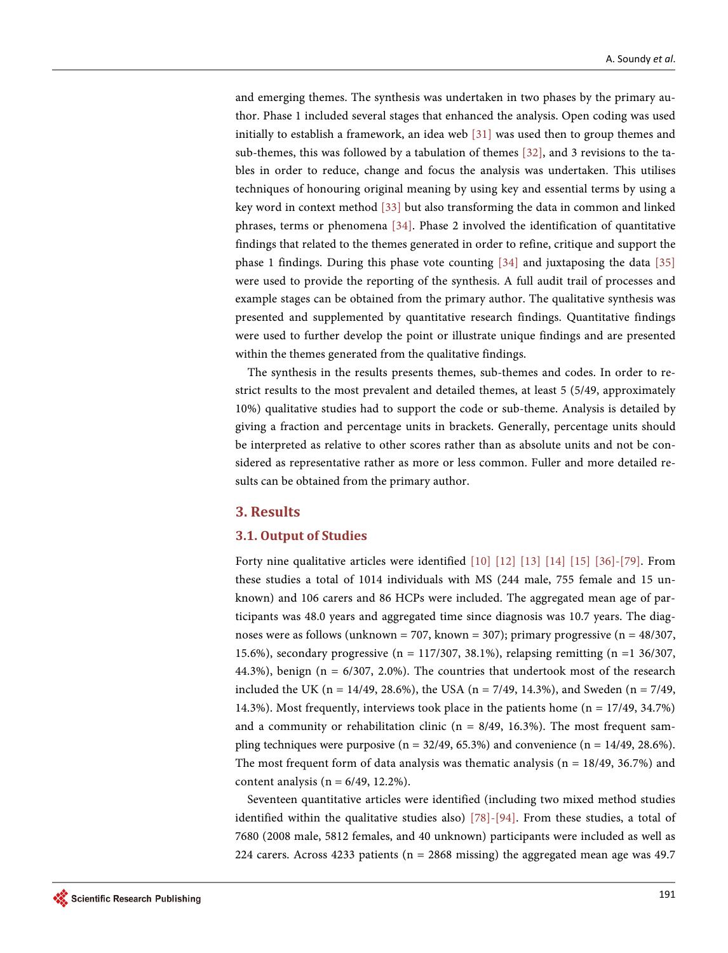and emerging themes. The synthesis was undertaken in two phases by the primary author. Phase 1 included several stages that enhanced the analysis. Open coding was used initially to establish a framework, an idea web [\[31\]](#page-25-8) was used then to group themes and sub-themes, this was followed by a tabulation of themes [\[32\],](#page-25-9) and 3 revisions to the tables in order to reduce, change and focus the analysis was undertaken. This utilises techniques of honouring original meaning by using key and essential terms by using a key word in context method [\[33\]](#page-25-10) but also transforming the data in common and linked phrases, terms or phenomena [\[34\].](#page-25-11) Phase 2 involved the identification of quantitative findings that related to the themes generated in order to refine, critique and support the phase 1 findings. During this phase vote counting  $[34]$  and juxtaposing the data  $[35]$ were used to provide the reporting of the synthesis. A full audit trail of processes and example stages can be obtained from the primary author. The qualitative synthesis was presented and supplemented by quantitative research findings. Quantitative findings were used to further develop the point or illustrate unique findings and are presented within the themes generated from the qualitative findings.

The synthesis in the results presents themes, sub-themes and codes. In order to restrict results to the most prevalent and detailed themes, at least 5 (5/49, approximately 10%) qualitative studies had to support the code or sub-theme. Analysis is detailed by giving a fraction and percentage units in brackets. Generally, percentage units should be interpreted as relative to other scores rather than as absolute units and not be considered as representative rather as more or less common. Fuller and more detailed results can be obtained from the primary author.

## **3. Results**

#### **3.1. Output of Studies**

Forty nine qualitative articles were identified [\[10\]](#page-24-3) [\[12\]](#page-24-5) [\[13\]](#page-24-6) [\[14\]](#page-24-7) [\[15\]](#page-24-8) [\[36\]-](#page-25-13)[\[79\].](#page-28-0) From these studies a total of 1014 individuals with MS (244 male, 755 female and 15 unknown) and 106 carers and 86 HCPs were included. The aggregated mean age of participants was 48.0 years and aggregated time since diagnosis was 10.7 years. The diagnoses were as follows (unknown = 707, known = 307); primary progressive ( $n = 48/307$ , 15.6%), secondary progressive (n = 117/307, 38.1%), relapsing remitting (n =1 36/307, 44.3%), benign ( $n = 6/307$ , 2.0%). The countries that undertook most of the research included the UK (n = 14/49, 28.6%), the USA (n = 7/49, 14.3%), and Sweden (n = 7/49, 14.3%). Most frequently, interviews took place in the patients home (n = 17/49, 34.7%) and a community or rehabilitation clinic ( $n = 8/49$ , 16.3%). The most frequent sampling techniques were purposive ( $n = 32/49, 65.3%$ ) and convenience ( $n = 14/49, 28.6%$ ). The most frequent form of data analysis was thematic analysis ( $n = 18/49, 36.7%$ ) and content analysis ( $n = 6/49$ , 12.2%).

Seventeen quantitative articles were identified (including two mixed method studies identified within the qualitative studies also) [\[78\]-](#page-28-1)[\[94\].](#page-29-0) From these studies, a total of 7680 (2008 male, 5812 females, and 40 unknown) participants were included as well as 224 carers. Across 4233 patients ( $n = 2868$  missing) the aggregated mean age was 49.7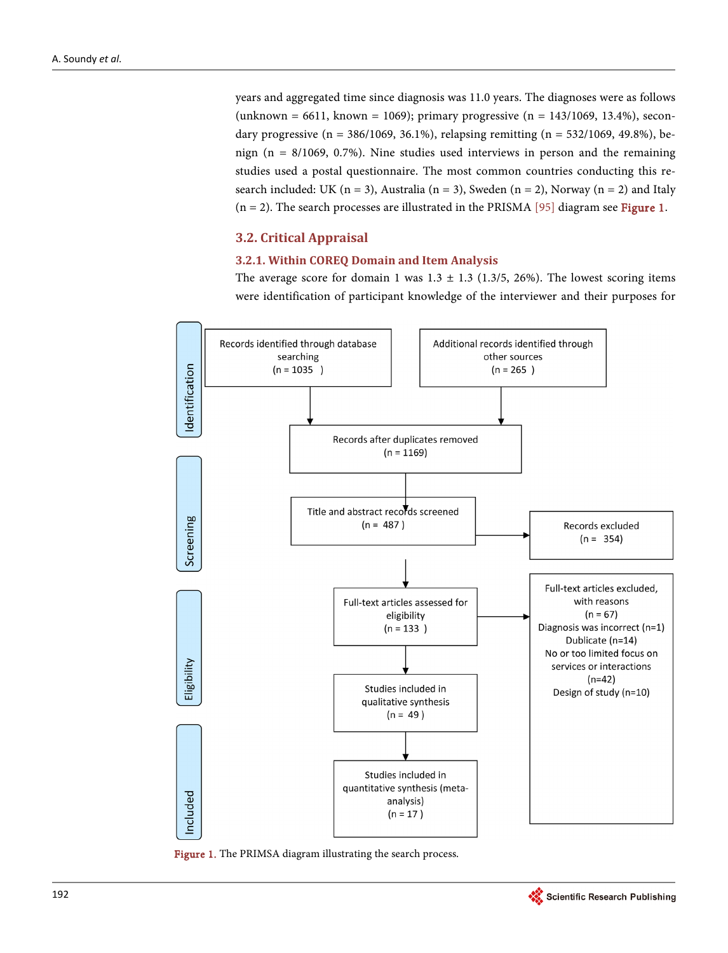years and aggregated time since diagnosis was 11.0 years. The diagnoses were as follows (unknown = 6611, known = 1069); primary progressive  $(n = 143/1069, 13.4\%)$ , secondary progressive ( $n = 386/1069$ , 36.1%), relapsing remitting ( $n = 532/1069$ , 49.8%), benign ( $n = 8/1069$ , 0.7%). Nine studies used interviews in person and the remaining studies used a postal questionnaire. The most common countries conducting this research included: UK ( $n = 3$ ), Australia ( $n = 3$ ), Sweden ( $n = 2$ ), Norway ( $n = 2$ ) and Italy  $(n = 2)$ . The search processes are illustrated in the PRISMA [\[95\]](#page-29-1) diagram see [Figure 1.](#page-6-0)

## **3.2. Critical Appraisal**

#### **3.2.1. Within COREQ Domain and Item Analysis**

The average score for domain 1 was  $1.3 \pm 1.3$  (1.3/5, 26%). The lowest scoring items were identification of participant knowledge of the interviewer and their purposes for

<span id="page-6-0"></span>

Figure 1. The PRIMSA diagram illustrating the search process.

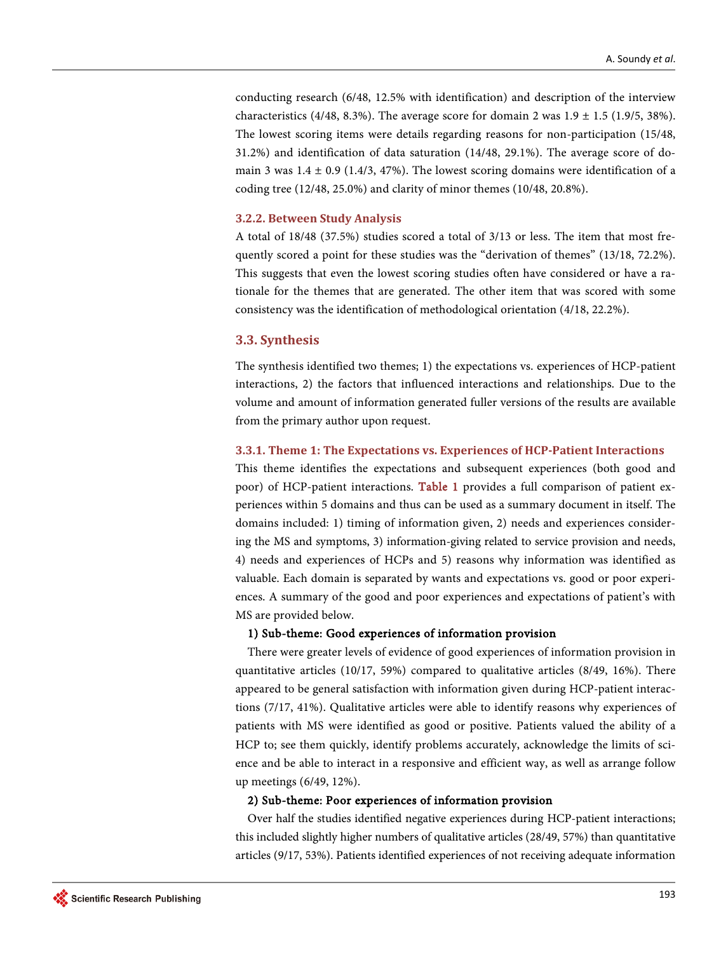conducting research (6/48, 12.5% with identification) and description of the interview characteristics (4/48, 8.3%). The average score for domain 2 was  $1.9 \pm 1.5$  (1.9/5, 38%). The lowest scoring items were details regarding reasons for non-participation (15/48, 31.2%) and identification of data saturation (14/48, 29.1%). The average score of domain 3 was  $1.4 \pm 0.9$  (1.4/3, 47%). The lowest scoring domains were identification of a coding tree (12/48, 25.0%) and clarity of minor themes (10/48, 20.8%).

#### **3.2.2. Between Study Analysis**

A total of 18/48 (37.5%) studies scored a total of 3/13 or less. The item that most frequently scored a point for these studies was the "derivation of themes" (13/18, 72.2%). This suggests that even the lowest scoring studies often have considered or have a rationale for the themes that are generated. The other item that was scored with some consistency was the identification of methodological orientation (4/18, 22.2%).

#### **3.3. Synthesis**

The synthesis identified two themes; 1) the expectations vs. experiences of HCP-patient interactions, 2) the factors that influenced interactions and relationships. Due to the volume and amount of information generated fuller versions of the results are available from the primary author upon request.

#### **3.3.1. Theme 1: The Expectations vs. Experiences of HCP-Patient Interactions**

This theme identifies the expectations and subsequent experiences (both good and poor) of HCP-patient interactions. [Table 1](#page-8-0) provides a full comparison of patient experiences within 5 domains and thus can be used as a summary document in itself. The domains included: 1) timing of information given, 2) needs and experiences considering the MS and symptoms, 3) information-giving related to service provision and needs, 4) needs and experiences of HCPs and 5) reasons why information was identified as valuable. Each domain is separated by wants and expectations vs. good or poor experiences. A summary of the good and poor experiences and expectations of patient's with MS are provided below.

## 1) Sub-theme: Good experiences of information provision

There were greater levels of evidence of good experiences of information provision in quantitative articles (10/17, 59%) compared to qualitative articles (8/49, 16%). There appeared to be general satisfaction with information given during HCP-patient interactions (7/17, 41%). Qualitative articles were able to identify reasons why experiences of patients with MS were identified as good or positive. Patients valued the ability of a HCP to; see them quickly, identify problems accurately, acknowledge the limits of science and be able to interact in a responsive and efficient way, as well as arrange follow up meetings (6/49, 12%).

#### 2) Sub-theme: Poor experiences of information provision

Over half the studies identified negative experiences during HCP-patient interactions; this included slightly higher numbers of qualitative articles (28/49, 57%) than quantitative articles (9/17, 53%). Patients identified experiences of not receiving adequate information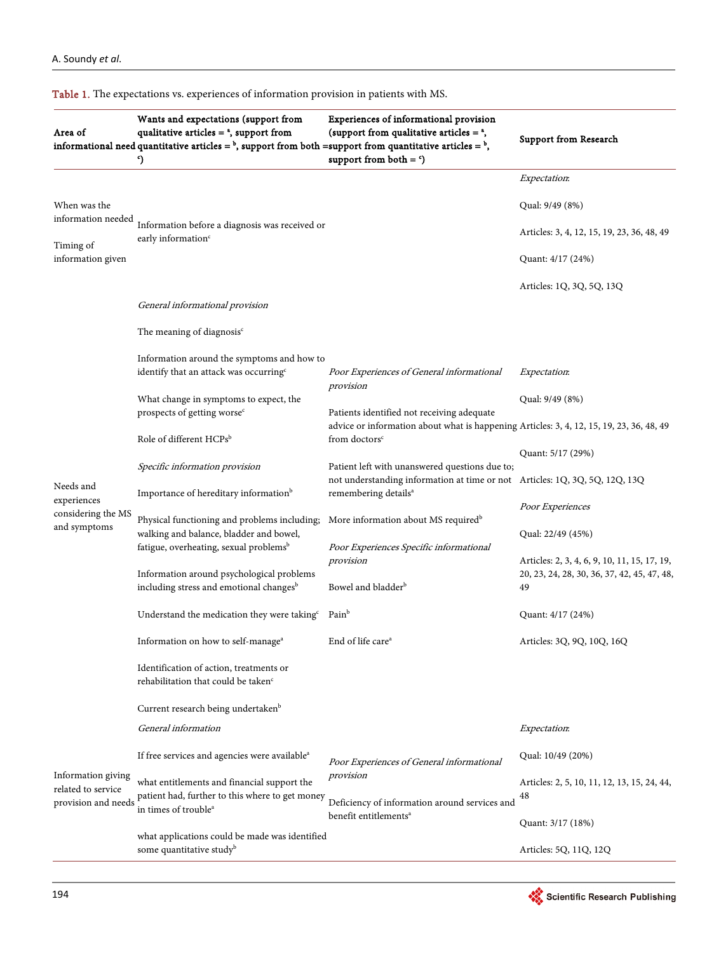| Area of                                                         | Wants and expectations (support from<br>qualitative articles $=$ <sup><math>a</math></sup> , support from<br>informational need quantitative articles = $^b$ , support from both = support from quantitative articles = $^b$ ,<br>9 | Experiences of informational provision<br>(support from qualitative articles $=$ <sup><math>a</math></sup> ,<br>support from both $=$ $\degree$ )                 | <b>Support from Research</b>                                                                |
|-----------------------------------------------------------------|-------------------------------------------------------------------------------------------------------------------------------------------------------------------------------------------------------------------------------------|-------------------------------------------------------------------------------------------------------------------------------------------------------------------|---------------------------------------------------------------------------------------------|
|                                                                 |                                                                                                                                                                                                                                     |                                                                                                                                                                   | Expectation:                                                                                |
| When was the<br>information needed                              |                                                                                                                                                                                                                                     |                                                                                                                                                                   | Qual: 9/49 (8%)                                                                             |
|                                                                 | Information before a diagnosis was received or<br>early information <sup>c</sup>                                                                                                                                                    |                                                                                                                                                                   | Articles: 3, 4, 12, 15, 19, 23, 36, 48, 49                                                  |
| Timing of<br>information given                                  |                                                                                                                                                                                                                                     |                                                                                                                                                                   | Quant: 4/17 (24%)                                                                           |
|                                                                 |                                                                                                                                                                                                                                     |                                                                                                                                                                   | Articles: 1Q, 3Q, 5Q, 13Q                                                                   |
|                                                                 | General informational provision                                                                                                                                                                                                     |                                                                                                                                                                   |                                                                                             |
|                                                                 | The meaning of diagnosis $\epsilon$                                                                                                                                                                                                 |                                                                                                                                                                   |                                                                                             |
|                                                                 | Information around the symptoms and how to                                                                                                                                                                                          |                                                                                                                                                                   |                                                                                             |
|                                                                 | identify that an attack was occurring <sup>c</sup>                                                                                                                                                                                  | Poor Experiences of General informational<br>provision                                                                                                            | Expectation:                                                                                |
|                                                                 | What change in symptoms to expect, the                                                                                                                                                                                              |                                                                                                                                                                   | Qual: 9/49 (8%)                                                                             |
|                                                                 | prospects of getting worse <sup>c</sup>                                                                                                                                                                                             | Patients identified not receiving adequate                                                                                                                        |                                                                                             |
| Needs and<br>experiences<br>considering the MS<br>and symptoms  | Role of different HCPsb                                                                                                                                                                                                             | advice or information about what is happening Articles: 3, 4, 12, 15, 19, 23, 36, 48, 49<br>from doctors <sup>c</sup>                                             |                                                                                             |
|                                                                 |                                                                                                                                                                                                                                     | Patient left with unanswered questions due to;<br>not understanding information at time or not Articles: 1Q, 3Q, 5Q, 12Q, 13Q<br>remembering details <sup>a</sup> | Quant: 5/17 (29%)                                                                           |
|                                                                 | Specific information provision<br>Importance of hereditary information <sup>b</sup>                                                                                                                                                 |                                                                                                                                                                   |                                                                                             |
|                                                                 |                                                                                                                                                                                                                                     |                                                                                                                                                                   | Poor Experiences                                                                            |
|                                                                 | Physical functioning and problems including;<br>walking and balance, bladder and bowel,                                                                                                                                             | More information about MS required <sup>b</sup>                                                                                                                   | Qual: 22/49 (45%)                                                                           |
|                                                                 | fatigue, overheating, sexual problems <sup>b</sup>                                                                                                                                                                                  | Poor Experiences Specific informational                                                                                                                           |                                                                                             |
|                                                                 | Information around psychological problems                                                                                                                                                                                           | provision                                                                                                                                                         | Articles: 2, 3, 4, 6, 9, 10, 11, 15, 17, 19,<br>20, 23, 24, 28, 30, 36, 37, 42, 45, 47, 48, |
|                                                                 | including stress and emotional changes <sup>b</sup>                                                                                                                                                                                 | Bowel and bladder <sup>b</sup>                                                                                                                                    | 49                                                                                          |
|                                                                 | Understand the medication they were taking <sup>c</sup>                                                                                                                                                                             | Pain <sup>b</sup>                                                                                                                                                 | Quant: 4/17 (24%)                                                                           |
|                                                                 | Information on how to self-manage <sup>a</sup>                                                                                                                                                                                      | End of life care <sup>a</sup>                                                                                                                                     | Articles: 3Q, 9Q, 10Q, 16Q                                                                  |
|                                                                 | Identification of action, treatments or<br>rehabilitation that could be taken <sup>c</sup>                                                                                                                                          |                                                                                                                                                                   |                                                                                             |
|                                                                 | Current research being undertaken <sup>b</sup>                                                                                                                                                                                      |                                                                                                                                                                   |                                                                                             |
|                                                                 | General information                                                                                                                                                                                                                 |                                                                                                                                                                   | Expectation:                                                                                |
| Information giving<br>related to service<br>provision and needs | If free services and agencies were available <sup>a</sup>                                                                                                                                                                           | Poor Experiences of General informational                                                                                                                         | Qual: 10/49 (20%)                                                                           |
|                                                                 | what entitlements and financial support the                                                                                                                                                                                         | provision                                                                                                                                                         | Articles: 2, 5, 10, 11, 12, 13, 15, 24, 44,                                                 |
|                                                                 | patient had, further to this where to get money                                                                                                                                                                                     | Deficiency of information around services and                                                                                                                     | 48                                                                                          |
|                                                                 | in times of trouble <sup>a</sup>                                                                                                                                                                                                    | benefit entitlements <sup>a</sup>                                                                                                                                 | Quant: 3/17 (18%)                                                                           |
|                                                                 | what applications could be made was identified                                                                                                                                                                                      |                                                                                                                                                                   |                                                                                             |
|                                                                 | some quantitative study <sup>b</sup>                                                                                                                                                                                                |                                                                                                                                                                   | Articles: 5Q, 11Q, 12Q                                                                      |

#### <span id="page-8-0"></span>Table 1. The expectations vs. experiences of information provision in patients with MS.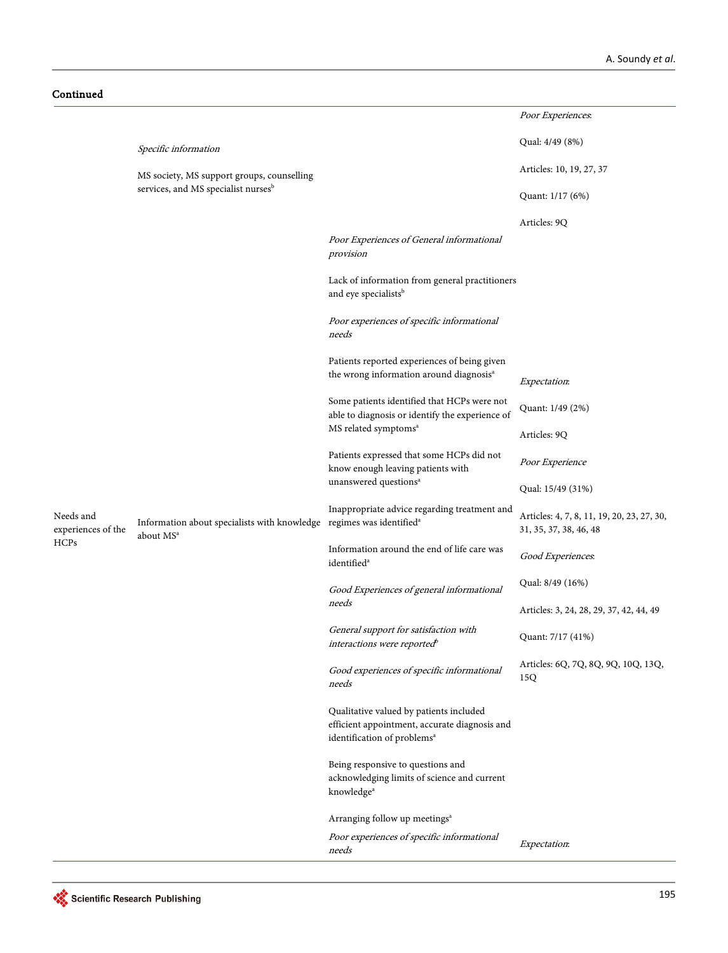Continued

|                                         |                                                                                                           |                                                                                                                                     | Poor Experiences.                                                    |
|-----------------------------------------|-----------------------------------------------------------------------------------------------------------|-------------------------------------------------------------------------------------------------------------------------------------|----------------------------------------------------------------------|
|                                         | Specific information                                                                                      | Qual: 4/49 (8%)                                                                                                                     |                                                                      |
|                                         | MS society, MS support groups, counselling                                                                |                                                                                                                                     | Articles: 10, 19, 27, 37                                             |
|                                         | services, and MS specialist nurses <sup>b</sup>                                                           |                                                                                                                                     | Quant: 1/17 (6%)                                                     |
|                                         |                                                                                                           |                                                                                                                                     | Articles: 9Q                                                         |
|                                         |                                                                                                           | Poor Experiences of General informational<br>provision                                                                              |                                                                      |
|                                         |                                                                                                           | Lack of information from general practitioners<br>and eye specialists <sup>b</sup>                                                  |                                                                      |
|                                         |                                                                                                           | Poor experiences of specific informational<br>needs                                                                                 |                                                                      |
|                                         |                                                                                                           | Patients reported experiences of being given                                                                                        |                                                                      |
|                                         |                                                                                                           | the wrong information around diagnosis <sup>a</sup>                                                                                 | Expectation:                                                         |
| Needs and<br>experiences of the<br>HCPs |                                                                                                           | Some patients identified that HCPs were not<br>able to diagnosis or identify the experience of                                      | Quant: 1/49 (2%)                                                     |
|                                         |                                                                                                           | MS related symptoms <sup>a</sup>                                                                                                    | Articles: 9Q                                                         |
|                                         | Information about specialists with knowledge regimes was identified <sup>a</sup><br>about MS <sup>a</sup> | Patients expressed that some HCPs did not<br>know enough leaving patients with                                                      | Poor Experience                                                      |
|                                         |                                                                                                           | unanswered questions <sup>a</sup>                                                                                                   | Qual: 15/49 (31%)                                                    |
|                                         |                                                                                                           | Inappropriate advice regarding treatment and                                                                                        | Articles: 4, 7, 8, 11, 19, 20, 23, 27, 30,<br>31, 35, 37, 38, 46, 48 |
|                                         |                                                                                                           | Information around the end of life care was<br>identified <sup>a</sup>                                                              | Good Experiences.                                                    |
|                                         |                                                                                                           | Good Experiences of general informational<br>needs                                                                                  | Qual: 8/49 (16%)                                                     |
|                                         |                                                                                                           |                                                                                                                                     | Articles: 3, 24, 28, 29, 37, 42, 44, 49                              |
|                                         |                                                                                                           | General support for satisfaction with<br>interactions were reported <sup>b</sup>                                                    | Quant: 7/17 (41%)                                                    |
|                                         |                                                                                                           | Good experiences of specific informational<br>needs                                                                                 | Articles: 6Q, 7Q, 8Q, 9Q, 10Q, 13Q,<br>15Q                           |
|                                         |                                                                                                           | Qualitative valued by patients included<br>efficient appointment, accurate diagnosis and<br>identification of problems <sup>a</sup> |                                                                      |
|                                         |                                                                                                           | Being responsive to questions and<br>acknowledging limits of science and current<br>knowledge <sup>a</sup>                          |                                                                      |
|                                         |                                                                                                           | Arranging follow up meetings <sup>a</sup>                                                                                           |                                                                      |
|                                         |                                                                                                           | Poor experiences of specific informational<br>needs                                                                                 | Expectation:                                                         |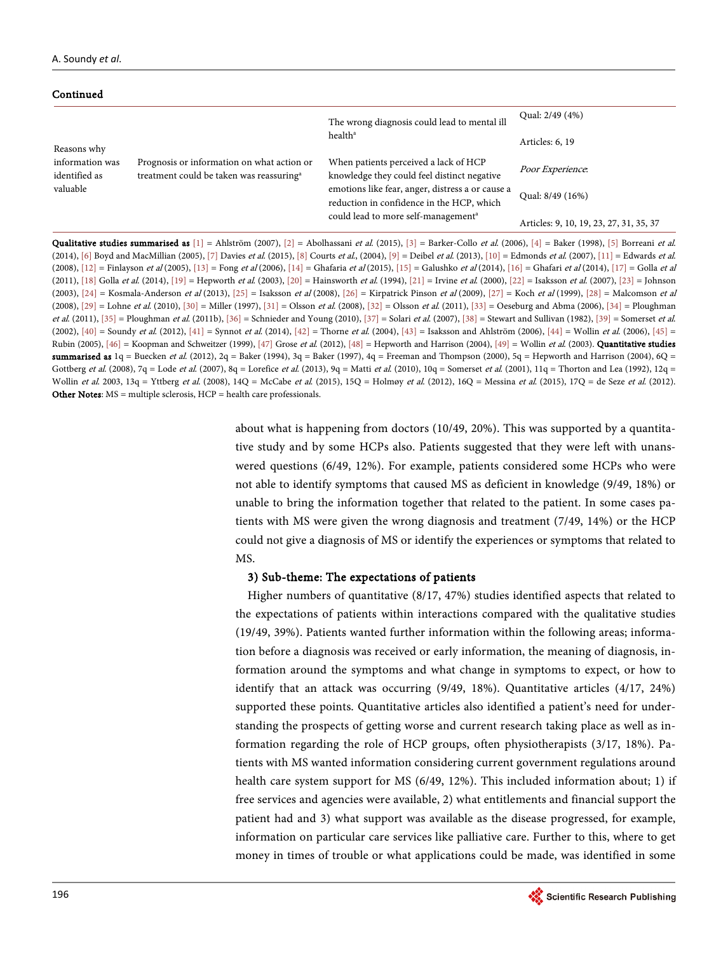Continued

| www.a                            |                                                                                                    |                                                                                               |                                         |
|----------------------------------|----------------------------------------------------------------------------------------------------|-----------------------------------------------------------------------------------------------|-----------------------------------------|
|                                  |                                                                                                    | The wrong diagnosis could lead to mental ill                                                  | Qual: 2/49 (4%)                         |
| Reasons why                      |                                                                                                    | health <sup>a</sup>                                                                           | Articles: 6, 19                         |
| information was<br>identified as | Prognosis or information on what action or<br>treatment could be taken was reassuring <sup>a</sup> | When patients perceived a lack of HCP<br>knowledge they could feel distinct negative          | Poor Experience.                        |
| valuable                         |                                                                                                    | emotions like fear, anger, distress a or cause a<br>reduction in confidence in the HCP, which | Qual: 8/49 (16%)                        |
|                                  |                                                                                                    | could lead to more self-management <sup>a</sup>                                               | Articles: 9, 10, 19, 23, 27, 31, 35, 37 |

**Qualitative studies summarised as**  $[1]$  = Ahlström (2007),  $[2]$  = Abolhassani et al. (2015),  $[3]$  = Barker-Collo et al. (2006),  $[4]$  = Baker (1998),  $[5]$  Borreani et al. (2014)[, \[6\]](#page-23-5) Boyd and MacMillian (2005)[, \[7\]](#page-24-0) Davies et al. (2015)[, \[8\]](#page-24-1) Courts et al., (2004)[, \[9\]](#page-24-2) = Deibel et al. (2013)[, \[10\]](#page-24-3) = Edmonds et al. (2007)[, \[11\]](#page-24-4) = Edwards et al. (2008)[, \[12\]](#page-24-5) = Finlayson et al (2005)[, \[13\]](#page-24-6) = Fong et al (2006)[, \[14\]](#page-24-7) = Ghafaria et al (2015)[, \[15\]](#page-24-8) = Galushko et al (2014)[, \[16\]](#page-24-9) = Ghafari et al (2014)[, \[17\]](#page-24-10) = Golla et al (2011)[, \[18\]](#page-24-11) Golla et al. (2014), [\[19\]](#page-24-12) = Hepworth et al. (2003)[, \[20\]](#page-24-13) = Hainsworth et al. (1994)[, \[21\]](#page-24-14) = Irvine et al. (2000)[, \[22\]](#page-24-15) = Isaksson et al. (2007)[, \[23\]](#page-25-0) = Johnson (2003),  $[24]$  = Kosmala-Anderson et al (2013),  $[25]$  = Isaksson et al (2008),  $[26]$  = Kirpatrick Pinson et al (2009),  $[27]$  = Koch et al (1999),  $[28]$  = Malcomson et al  $(2008)$ ,  $[29]$  = Lohne et al. (2010),  $[30]$  = Miller (1997),  $[31]$  = Olsson et al. (2008),  $[32]$  = Olsson et al. (2011),  $[33]$  = Oeseburg and Abma (2006),  $[34]$  = Ploughman et al. (2011)[, \[35\]](#page-25-12) = Ploughman et al. (2011b)[, \[36\]](#page-25-13) = Schnieder and Young (2010)[, \[37\]](#page-25-14) = Solari et al. (2007)[, \[38\]](#page-25-15) = Stewart and Sullivan (1982)[, \[39\]](#page-25-16) = Somerset et al. (2002),  $[40]$  = Soundy et al. (2012),  $[41]$  = Synnot et al. (2014),  $[42]$  = Thorne et al. (2004),  $[43]$  = Isaksson and Ahlström (2006),  $[44]$  = Wollin et al. (2006),  $[45]$  = Rubin (2005),  $[46]$  = Koopman and Schweitzer (1999),  $[47]$  Grose et al. (2012),  $[48]$  = Hepworth and Harrison (2004),  $[49]$  = Wollin et al. (2003). **Quantitative studies** summarised as  $1q = B$ uecken et al. (2012), 2q = Baker (1994), 3q = Baker (1997), 4q = Freeman and Thompson (2000), 5q = Hepworth and Harrison (2004), 6Q = Gottberg et al. (2008), 7q = Lode et al. (2007), 8q = Lorefice et al. (2013), 9q = Matti et al. (2010), 10q = Somerset et al. (2001), 11q = Thorton and Lea (1992), 12q = Wollin et al. 2003, 13q = Yttberg et al. (2008), 14Q = McCabe et al. (2015), 15Q = Holmøy et al. (2012), 16Q = Messina et al. (2015), 17Q = de Seze et al. (2012). Other Notes: MS = multiple sclerosis, HCP = health care professionals.

> about what is happening from doctors (10/49, 20%). This was supported by a quantitative study and by some HCPs also. Patients suggested that they were left with unanswered questions (6/49, 12%). For example, patients considered some HCPs who were not able to identify symptoms that caused MS as deficient in knowledge (9/49, 18%) or unable to bring the information together that related to the patient. In some cases patients with MS were given the wrong diagnosis and treatment (7/49, 14%) or the HCP could not give a diagnosis of MS or identify the experiences or symptoms that related to MS.

## 3) Sub-theme: The expectations of patients

Higher numbers of quantitative (8/17, 47%) studies identified aspects that related to the expectations of patients within interactions compared with the qualitative studies (19/49, 39%). Patients wanted further information within the following areas; information before a diagnosis was received or early information, the meaning of diagnosis, information around the symptoms and what change in symptoms to expect, or how to identify that an attack was occurring (9/49, 18%). Quantitative articles (4/17, 24%) supported these points. Quantitative articles also identified a patient's need for understanding the prospects of getting worse and current research taking place as well as information regarding the role of HCP groups, often physiotherapists (3/17, 18%). Patients with MS wanted information considering current government regulations around health care system support for MS (6/49, 12%). This included information about; 1) if free services and agencies were available, 2) what entitlements and financial support the patient had and 3) what support was available as the disease progressed, for example, information on particular care services like palliative care. Further to this, where to get money in times of trouble or what applications could be made, was identified in some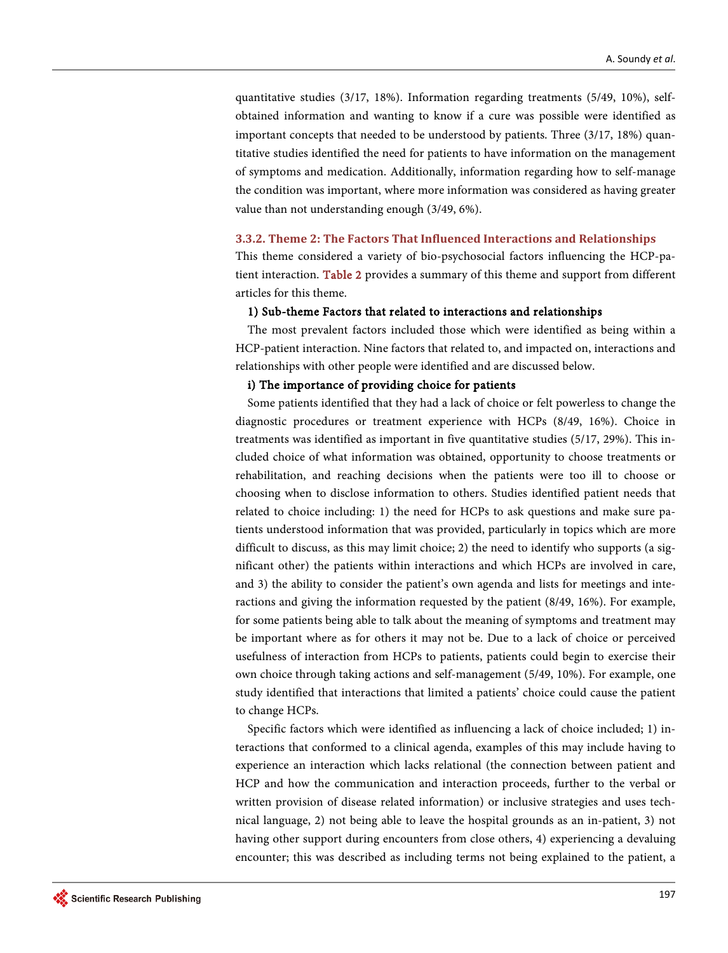quantitative studies (3/17, 18%). Information regarding treatments (5/49, 10%), selfobtained information and wanting to know if a cure was possible were identified as important concepts that needed to be understood by patients. Three (3/17, 18%) quantitative studies identified the need for patients to have information on the management of symptoms and medication. Additionally, information regarding how to self-manage the condition was important, where more information was considered as having greater value than not understanding enough (3/49, 6%).

#### **3.3.2. Theme 2: The Factors That Influenced Interactions and Relationships**

This theme considered a variety of bio-psychosocial factors influencing the HCP-patient interaction. [Table 2](#page-12-0) provides a summary of this theme and support from different articles for this theme.

#### 1) Sub-theme Factors that related to interactions and relationships

The most prevalent factors included those which were identified as being within a HCP-patient interaction. Nine factors that related to, and impacted on, interactions and relationships with other people were identified and are discussed below.

#### i) The importance of providing choice for patients

Some patients identified that they had a lack of choice or felt powerless to change the diagnostic procedures or treatment experience with HCPs (8/49, 16%). Choice in treatments was identified as important in five quantitative studies (5/17, 29%). This included choice of what information was obtained, opportunity to choose treatments or rehabilitation, and reaching decisions when the patients were too ill to choose or choosing when to disclose information to others. Studies identified patient needs that related to choice including: 1) the need for HCPs to ask questions and make sure patients understood information that was provided, particularly in topics which are more difficult to discuss, as this may limit choice; 2) the need to identify who supports (a significant other) the patients within interactions and which HCPs are involved in care, and 3) the ability to consider the patient's own agenda and lists for meetings and interactions and giving the information requested by the patient (8/49, 16%). For example, for some patients being able to talk about the meaning of symptoms and treatment may be important where as for others it may not be. Due to a lack of choice or perceived usefulness of interaction from HCPs to patients, patients could begin to exercise their own choice through taking actions and self-management (5/49, 10%). For example, one study identified that interactions that limited a patients' choice could cause the patient to change HCPs.

Specific factors which were identified as influencing a lack of choice included; 1) interactions that conformed to a clinical agenda, examples of this may include having to experience an interaction which lacks relational (the connection between patient and HCP and how the communication and interaction proceeds, further to the verbal or written provision of disease related information) or inclusive strategies and uses technical language, 2) not being able to leave the hospital grounds as an in-patient, 3) not having other support during encounters from close others, 4) experiencing a devaluing encounter; this was described as including terms not being explained to the patient, a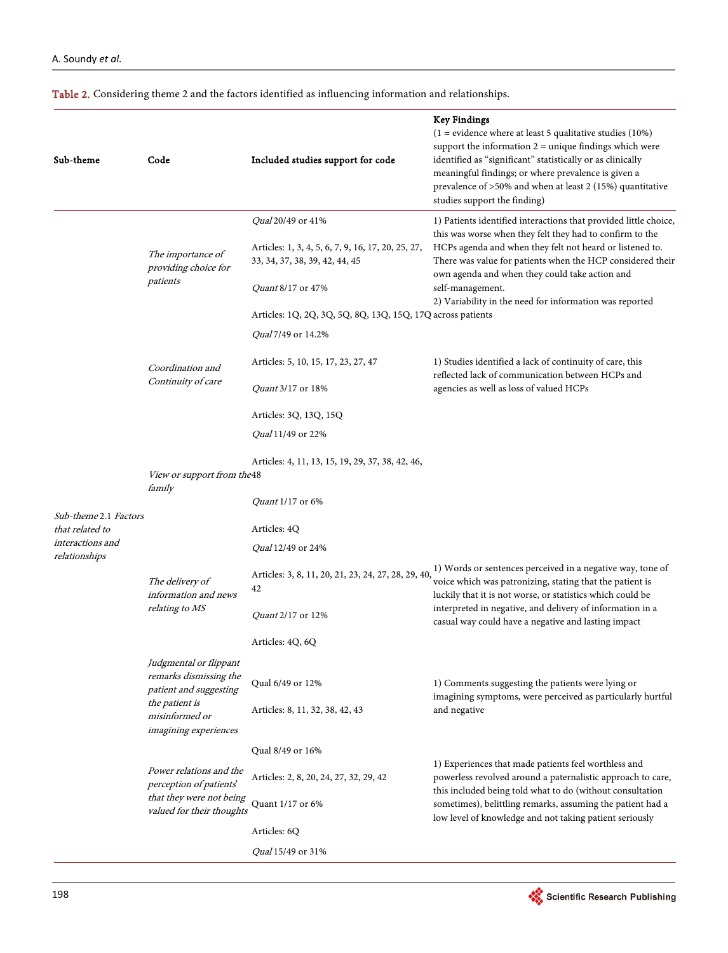<span id="page-12-0"></span>

| Table 2. Considering theme 2 and the factors identified as influencing information and relationships. |  |  |  |  |  |  |
|-------------------------------------------------------------------------------------------------------|--|--|--|--|--|--|
|-------------------------------------------------------------------------------------------------------|--|--|--|--|--|--|

| Sub-theme                                            | Code                                                                                                                                           | Included studies support for code                                                                                                                                                                                                 | <b>Key Findings</b><br>$(1 = evidence where at least 5 qualitative studies (10%)$<br>support the information $2 =$ unique findings which were<br>identified as "significant" statistically or as clinically<br>meaningful findings; or where prevalence is given a<br>prevalence of >50% and when at least 2 (15%) quantitative<br>studies support the finding)                         |
|------------------------------------------------------|------------------------------------------------------------------------------------------------------------------------------------------------|-----------------------------------------------------------------------------------------------------------------------------------------------------------------------------------------------------------------------------------|-----------------------------------------------------------------------------------------------------------------------------------------------------------------------------------------------------------------------------------------------------------------------------------------------------------------------------------------------------------------------------------------|
|                                                      | The importance of<br>providing choice for<br>patients                                                                                          | <i>Qual</i> 20/49 or 41%<br>Articles: 1, 3, 4, 5, 6, 7, 9, 16, 17, 20, 25, 27,<br>33, 34, 37, 38, 39, 42, 44, 45<br><i>Quant</i> 8/17 or 47%<br>Articles: 1Q, 2Q, 3Q, 5Q, 8Q, 13Q, 15Q, 17Q across patients<br>Qual 7/49 or 14.2% | 1) Patients identified interactions that provided little choice,<br>this was worse when they felt they had to confirm to the<br>HCPs agenda and when they felt not heard or listened to.<br>There was value for patients when the HCP considered their<br>own agenda and when they could take action and<br>self-management.<br>2) Variability in the need for information was reported |
|                                                      | Coordination and<br>Continuity of care                                                                                                         | Articles: 5, 10, 15, 17, 23, 27, 47<br><i>Quant</i> 3/17 or 18%<br>Articles: 3Q, 13Q, 15Q<br><i>Qual</i> 11/49 or 22%                                                                                                             | 1) Studies identified a lack of continuity of care, this<br>reflected lack of communication between HCPs and<br>agencies as well as loss of valued HCPs                                                                                                                                                                                                                                 |
| Sub-theme 2.1 Factors                                | View or support from the 48<br>family                                                                                                          | Articles: 4, 11, 13, 15, 19, 29, 37, 38, 42, 46,<br><i>Quant</i> 1/17 or 6%                                                                                                                                                       |                                                                                                                                                                                                                                                                                                                                                                                         |
| that related to<br>interactions and<br>relationships | The delivery of<br>information and news<br>relating to MS                                                                                      | Articles: 4Q<br><i>Qual</i> 12/49 or 24%<br>Articles: 3, 8, 11, 20, 21, 23, 24, 27, 28, 29, 40,<br>42<br><i>Quant</i> 2/17 or 12%                                                                                                 | 1) Words or sentences perceived in a negative way, tone of<br>voice which was patronizing, stating that the patient is<br>luckily that it is not worse, or statistics which could be<br>interpreted in negative, and delivery of information in a<br>casual way could have a negative and lasting impact                                                                                |
|                                                      | Judgmental or flippant<br>remarks dismissing the<br>patient and suggesting<br>the patient is<br>misinformed or<br><i>imagining experiences</i> | Articles: 4Q, 6Q<br>Qual 6/49 or 12%<br>Articles: 8, 11, 32, 38, 42, 43                                                                                                                                                           | 1) Comments suggesting the patients were lying or<br>imagining symptoms, were perceived as particularly hurtful<br>and negative                                                                                                                                                                                                                                                         |
|                                                      | Power relations and the<br>perception of patients'<br>that they were not being<br>valued for their thoughts                                    | Qual 8/49 or 16%<br>Articles: 2, 8, 20, 24, 27, 32, 29, 42<br>Quant 1/17 or 6%<br>Articles: 6Q<br>Qual 15/49 or 31%                                                                                                               | 1) Experiences that made patients feel worthless and<br>powerless revolved around a paternalistic approach to care,<br>this included being told what to do (without consultation<br>sometimes), belittling remarks, assuming the patient had a<br>low level of knowledge and not taking patient seriously                                                                               |

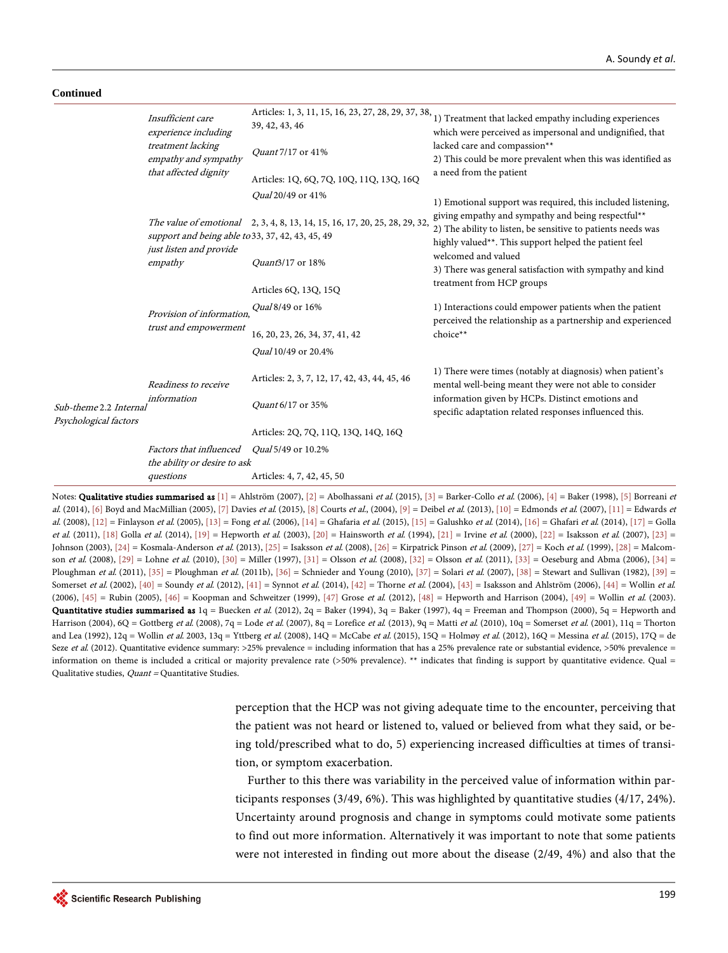#### **Continued**

 $Sub-then$ Psycholog

|                                | Insufficient care<br>experience including<br>treatment lacking<br>empathy and sympathy<br>that affected dignity | Articles: 1, 3, 11, 15, 16, 23, 27, 28, 29, 37, 38,<br>39, 42, 43, 46      | 1) Treatment that lacked empathy including experiences<br>which were perceived as impersonal and undignified, that                                                          |
|--------------------------------|-----------------------------------------------------------------------------------------------------------------|----------------------------------------------------------------------------|-----------------------------------------------------------------------------------------------------------------------------------------------------------------------------|
|                                |                                                                                                                 | Quant 7/17 or 41%                                                          | lacked care and compassion**<br>2) This could be more prevalent when this was identified as                                                                                 |
|                                |                                                                                                                 | Articles: 1Q, 6Q, 7Q, 10Q, 11Q, 13Q, 16Q                                   | a need from the patient                                                                                                                                                     |
|                                |                                                                                                                 | <i>Qual</i> 20/49 or 41%                                                   | 1) Emotional support was required, this included listening,                                                                                                                 |
|                                | support and being able to 33, 37, 42, 43, 45, 49<br>just listen and provide<br>empathy                          | The value of emotional 2, 3, 4, 8, 13, 14, 15, 16, 17, 20, 25, 28, 29, 32, | giving empathy and sympathy and being respectful**<br>2) The ability to listen, be sensitive to patients needs was<br>highly valued**. This support helped the patient feel |
|                                |                                                                                                                 | Quant3/17 or 18%                                                           | welcomed and valued<br>3) There was general satisfaction with sympathy and kind                                                                                             |
|                                |                                                                                                                 | Articles 6Q, 13Q, 15Q                                                      | treatment from HCP groups                                                                                                                                                   |
|                                | Provision of information.<br>trust and empowerment                                                              | <i>Qual</i> 8/49 or 16%                                                    | 1) Interactions could empower patients when the patient<br>perceived the relationship as a partnership and experienced                                                      |
|                                |                                                                                                                 | 16, 20, 23, 26, 34, 37, 41, 42                                             | choice**                                                                                                                                                                    |
|                                |                                                                                                                 | <i>Oual</i> 10/49 or 20.4%                                                 |                                                                                                                                                                             |
| e 2.2 Internal<br>ical factors | Readiness to receive<br>information                                                                             | Articles: 2, 3, 7, 12, 17, 42, 43, 44, 45, 46                              | 1) There were times (notably at diagnosis) when patient's<br>mental well-being meant they were not able to consider                                                         |
|                                |                                                                                                                 | Quant 6/17 or 35%                                                          | information given by HCPs. Distinct emotions and<br>specific adaptation related responses influenced this.                                                                  |
|                                |                                                                                                                 | Articles: 2Q, 7Q, 11Q, 13Q, 14Q, 16Q                                       |                                                                                                                                                                             |
|                                | <i>Factors that influenced</i><br>the ability or desire to ask                                                  | <i>Oual</i> 5/49 or 10.2%                                                  |                                                                                                                                                                             |
|                                | questions                                                                                                       | Articles: 4, 7, 42, 45, 50                                                 |                                                                                                                                                                             |

Notes: Qualitative studies summarised as [\[1\]](#page-23-0) = Ahlström (2007)[, \[2\]](#page-23-1) = Abolhassani et al. (2015)[, \[3\]](#page-23-2) = Barker-Collo et al. (2006)[, \[4\]](#page-23-3) = Baker (1998)[, \[5\]](#page-23-4) Borreani et al. (2014)[, \[6\]](#page-23-5) Boyd and MacMillian (2005)[, \[7\]](#page-24-0) Davies et al. (2015)[, \[8\]](#page-24-1) Courts et al., (2004)[, \[9\]](#page-24-2) = Deibel et al. (2013)[, \[10\]](#page-24-3) = Edmonds et al. (2007)[, \[11\]](#page-24-4) = Edwards et al. (2008)[, \[12\]](#page-24-5) = Finlayson et al. (2005)[, \[13\]](#page-24-6) = Fong et al. (2006)[, \[14\]](#page-24-7) = Ghafaria et al. (2015)[, \[15\]](#page-24-8) = Galushko et al. (2014)[, \[16\]](#page-24-9) = Ghafari et al. (2014)[, \[17\]](#page-24-10) = Golla et al. (2011), [\[18\]](#page-24-11) Golla et al. (2014), [\[19\]](#page-24-12) = Hepworth et al. (2003), [\[20\]](#page-24-13) = Hainsworth et al. (1994), [\[21\]](#page-24-14) = Irvine et al. (2000)[, \[22\]](#page-24-15) = Isaksson et al. (2007)[, \[23\]](#page-25-0) = Johnson (2003)[, \[24\]](#page-25-1) = Kosmala-Anderson et al. (2013)[, \[25\]](#page-25-2) = Isaksson et al. (2008)[, \[26\]](#page-25-3) = Kirpatrick Pinson et al. (2009)[, \[27\]](#page-25-4) = Koch et al. (1999)[, \[28\]](#page-25-5) = Malcom-son et al. (2008), [\[29\]](#page-25-6) = Lohne et al. (2010)[, \[30\]](#page-25-7) = Miller (1997)[, \[31\]](#page-25-8) = Olsson et al. (2008), [\[32\]](#page-25-9) = Olsson et al. (2011)[, \[33\]](#page-25-10) = Oeseburg and Abma (2006)[, \[34\]](#page-25-11) = Ploughman et al. (2011)[, \[35\]](#page-25-12) = Ploughman et al. (2011b)[, \[36\]](#page-25-13) = Schnieder and Young (2010), [\[37\]](#page-25-14) = Solari et al. (2007)[, \[38\]](#page-25-15) = Stewart and Sullivan (1982)[, \[39\]](#page-25-16) = Somerset et al. (2002)[, \[40\]](#page-26-0) = Soundy et al. (2012)[, \[41\]](#page-26-1) = Synnot et al. (2014)[, \[42\]](#page-26-2) = Thorne et al. (2004)[, \[43\]](#page-26-3) = Isaksson and Ahlström (2006), [\[44\]](#page-26-4) = Wollin et al. (2006),  $[45]$  = Rubin (2005),  $[46]$  = Koopman and Schweitzer (1999),  $[47]$  Grose *et al.* (2012),  $[48]$  = Hepworth and Harrison (2004),  $[49]$  = Wollin *et al.* (2003). **Quantitative studies summarised as**  $1q = B$ uecken *et al.* (2012), 2q = Baker (1994), 3q = Baker (1997), 4q = Freeman and Thompson (2000), 5q = Hepworth and Harrison (2004), 6Q = Gottberg et al. (2008), 7q = Lode et al. (2007), 8q = Lorefice et al. (2013), 9q = Matti et al. (2010), 10q = Somerset et al. (2001), 11q = Thorton and Lea (1992),  $12q =$  Wollin et al. 2003,  $13q =$ Yttberg et al. (2008),  $14Q =$ McCabe et al. (2015),  $15Q =$ Holmøy et al. (2012),  $16Q =$ Messina et al. (2015),  $17Q =$ de Seze et al. (2012). Quantitative evidence summary: >25% prevalence = including information that has a 25% prevalence rate or substantial evidence, >50% prevalence = information on theme is included a critical or majority prevalence rate (>50% prevalence). \*\* indicates that finding is support by quantitative evidence. Qual = Qualitative studies, *Quant* = Quantitative Studies.

> perception that the HCP was not giving adequate time to the encounter, perceiving that the patient was not heard or listened to, valued or believed from what they said, or being told/prescribed what to do, 5) experiencing increased difficulties at times of transition, or symptom exacerbation.

> Further to this there was variability in the perceived value of information within participants responses (3/49, 6%). This was highlighted by quantitative studies (4/17, 24%). Uncertainty around prognosis and change in symptoms could motivate some patients to find out more information. Alternatively it was important to note that some patients were not interested in finding out more about the disease (2/49, 4%) and also that the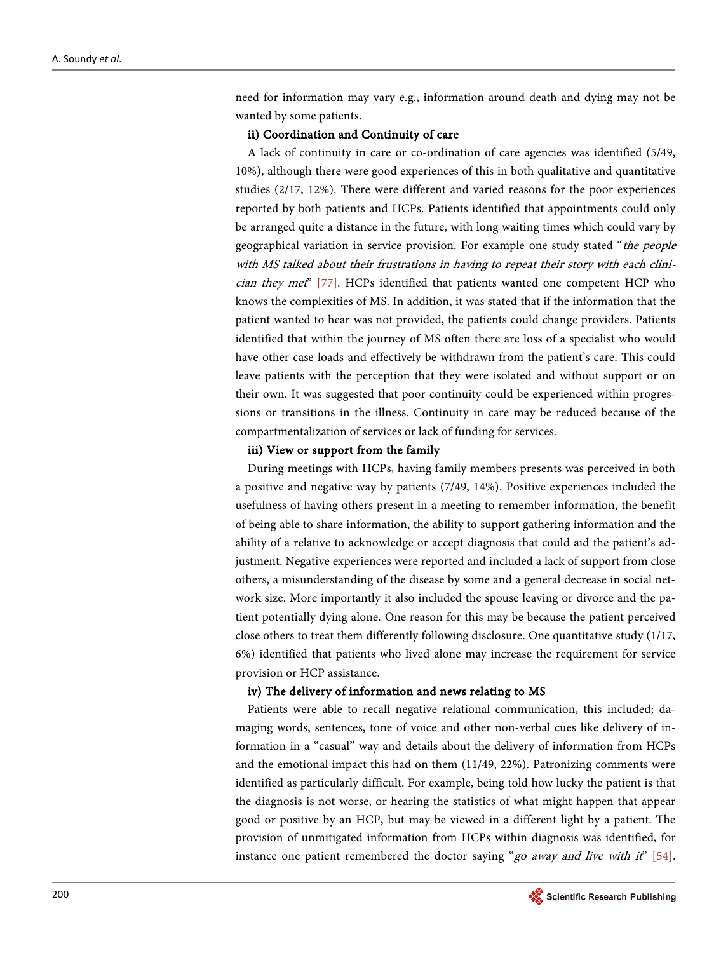need for information may vary e.g., information around death and dying may not be wanted by some patients.

#### ii) Coordination and Continuity of care

A lack of continuity in care or co-ordination of care agencies was identified (5/49, 10%), although there were good experiences of this in both qualitative and quantitative studies (2/17, 12%). There were different and varied reasons for the poor experiences reported by both patients and HCPs. Patients identified that appointments could only be arranged quite a distance in the future, with long waiting times which could vary by geographical variation in service provision. For example one study stated "the people with MS talked about their frustrations in having to repeat their story with each clinician they met" [\[77\].](#page-28-2) HCPs identified that patients wanted one competent HCP who knows the complexities of MS. In addition, it was stated that if the information that the patient wanted to hear was not provided, the patients could change providers. Patients identified that within the journey of MS often there are loss of a specialist who would have other case loads and effectively be withdrawn from the patient's care. This could leave patients with the perception that they were isolated and without support or on their own. It was suggested that poor continuity could be experienced within progressions or transitions in the illness. Continuity in care may be reduced because of the compartmentalization of services or lack of funding for services.

#### iii) View or support from the family

During meetings with HCPs, having family members presents was perceived in both a positive and negative way by patients (7/49, 14%). Positive experiences included the usefulness of having others present in a meeting to remember information, the benefit of being able to share information, the ability to support gathering information and the ability of a relative to acknowledge or accept diagnosis that could aid the patient's adjustment. Negative experiences were reported and included a lack of support from close others, a misunderstanding of the disease by some and a general decrease in social network size. More importantly it also included the spouse leaving or divorce and the patient potentially dying alone. One reason for this may be because the patient perceived close others to treat them differently following disclosure. One quantitative study (1/17, 6%) identified that patients who lived alone may increase the requirement for service provision or HCP assistance.

#### iv) The delivery of information and news relating to MS

Patients were able to recall negative relational communication, this included; damaging words, sentences, tone of voice and other non-verbal cues like delivery of information in a "casual" way and details about the delivery of information from HCPs and the emotional impact this had on them (11/49, 22%). Patronizing comments were identified as particularly difficult. For example, being told how lucky the patient is that the diagnosis is not worse, or hearing the statistics of what might happen that appear good or positive by an HCP, but may be viewed in a different light by a patient. The provision of unmitigated information from HCPs within diagnosis was identified, for instance one patient remembered the doctor saying "go away and live with it"  $[54]$ .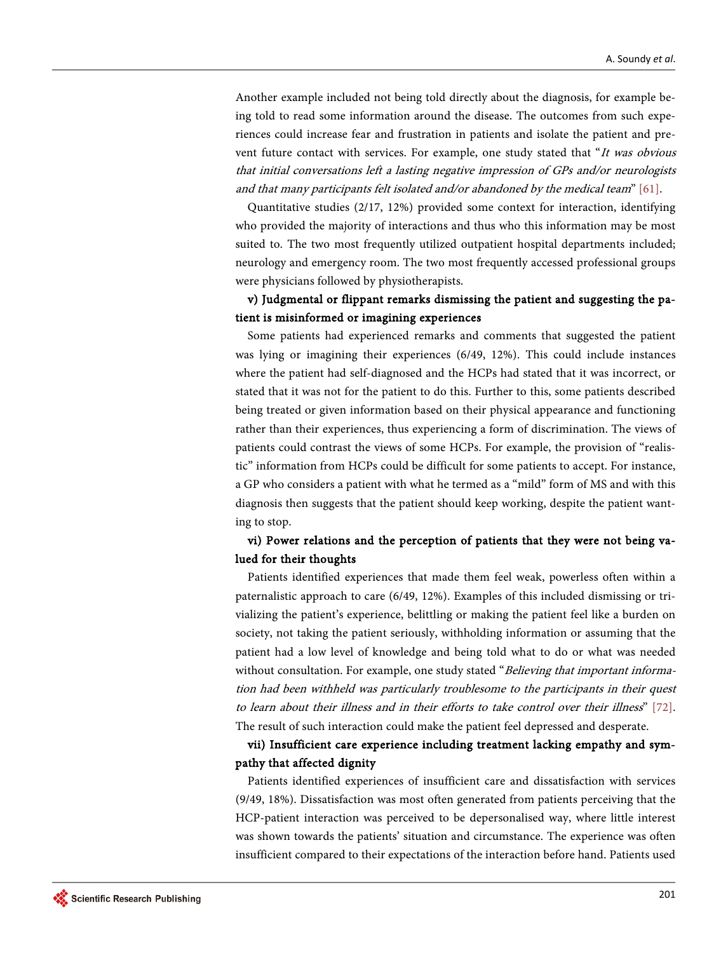Another example included not being told directly about the diagnosis, for example being told to read some information around the disease. The outcomes from such experiences could increase fear and frustration in patients and isolate the patient and prevent future contact with services. For example, one study stated that "It was obvious that initial conversations left a lasting negative impression of GPs and/or neurologists and that many participants felt isolated and/or abandoned by the medical team" [\[61\].](#page-27-1)

Quantitative studies (2/17, 12%) provided some context for interaction, identifying who provided the majority of interactions and thus who this information may be most suited to. The two most frequently utilized outpatient hospital departments included; neurology and emergency room. The two most frequently accessed professional groups were physicians followed by physiotherapists.

## v) Judgmental or flippant remarks dismissing the patient and suggesting the patient is misinformed or imagining experiences

Some patients had experienced remarks and comments that suggested the patient was lying or imagining their experiences (6/49, 12%). This could include instances where the patient had self-diagnosed and the HCPs had stated that it was incorrect, or stated that it was not for the patient to do this. Further to this, some patients described being treated or given information based on their physical appearance and functioning rather than their experiences, thus experiencing a form of discrimination. The views of patients could contrast the views of some HCPs. For example, the provision of "realistic" information from HCPs could be difficult for some patients to accept. For instance, a GP who considers a patient with what he termed as a "mild" form of MS and with this diagnosis then suggests that the patient should keep working, despite the patient wanting to stop.

## vi) Power relations and the perception of patients that they were not being valued for their thoughts

Patients identified experiences that made them feel weak, powerless often within a paternalistic approach to care (6/49, 12%). Examples of this included dismissing or trivializing the patient's experience, belittling or making the patient feel like a burden on society, not taking the patient seriously, withholding information or assuming that the patient had a low level of knowledge and being told what to do or what was needed without consultation. For example, one study stated "Believing that important information had been withheld was particularly troublesome to the participants in their quest to learn about their illness and in their efforts to take control over their illness" [\[72\].](#page-28-3)  The result of such interaction could make the patient feel depressed and desperate.

## vii) Insufficient care experience including treatment lacking empathy and sympathy that affected dignity

Patients identified experiences of insufficient care and dissatisfaction with services (9/49, 18%). Dissatisfaction was most often generated from patients perceiving that the HCP-patient interaction was perceived to be depersonalised way, where little interest was shown towards the patients' situation and circumstance. The experience was often insufficient compared to their expectations of the interaction before hand. Patients used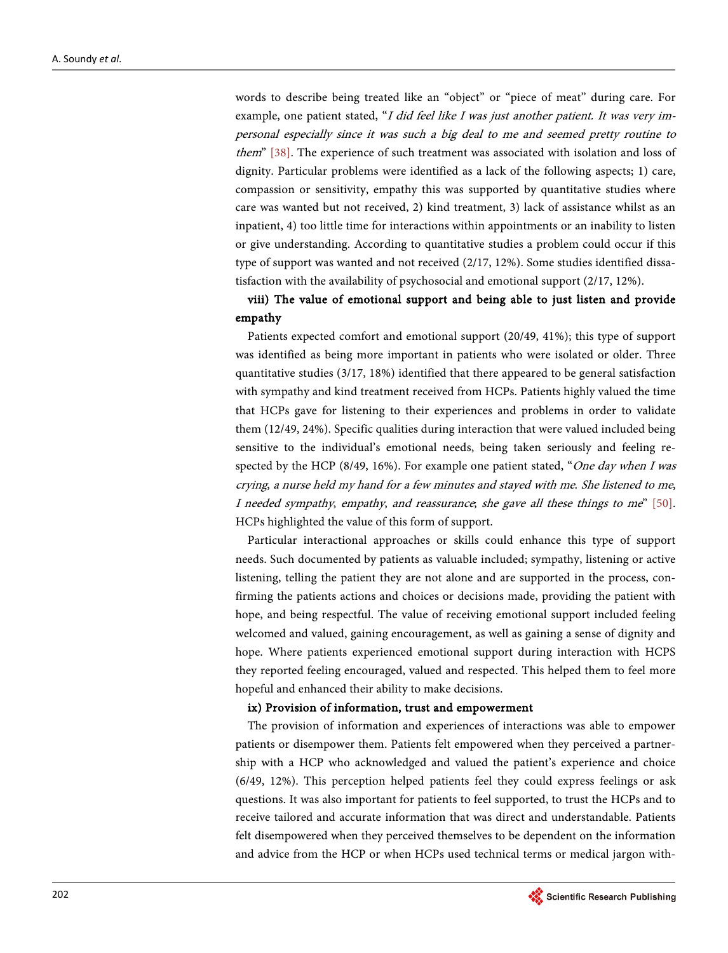words to describe being treated like an "object" or "piece of meat" during care. For example, one patient stated, "I did feel like I was just another patient. It was very impersonal especially since it was such a big deal to me and seemed pretty routine to them" [\[38\].](#page-25-15) The experience of such treatment was associated with isolation and loss of dignity. Particular problems were identified as a lack of the following aspects; 1) care, compassion or sensitivity, empathy this was supported by quantitative studies where care was wanted but not received, 2) kind treatment, 3) lack of assistance whilst as an inpatient, 4) too little time for interactions within appointments or an inability to listen or give understanding. According to quantitative studies a problem could occur if this type of support was wanted and not received (2/17, 12%). Some studies identified dissatisfaction with the availability of psychosocial and emotional support (2/17, 12%).

## viii) The value of emotional support and being able to just listen and provide empathy

Patients expected comfort and emotional support (20/49, 41%); this type of support was identified as being more important in patients who were isolated or older. Three quantitative studies (3/17, 18%) identified that there appeared to be general satisfaction with sympathy and kind treatment received from HCPs. Patients highly valued the time that HCPs gave for listening to their experiences and problems in order to validate them (12/49, 24%). Specific qualities during interaction that were valued included being sensitive to the individual's emotional needs, being taken seriously and feeling respected by the HCP (8/49, 16%). For example one patient stated, "One day when I was crying, a nurse held my hand for a few minutes and stayed with me. She listened to me, I needed sympathy, empathy, and reassurance; she gave all these things to me" [\[50\].](#page-26-10)  HCPs highlighted the value of this form of support.

Particular interactional approaches or skills could enhance this type of support needs. Such documented by patients as valuable included; sympathy, listening or active listening, telling the patient they are not alone and are supported in the process, confirming the patients actions and choices or decisions made, providing the patient with hope, and being respectful. The value of receiving emotional support included feeling welcomed and valued, gaining encouragement, as well as gaining a sense of dignity and hope. Where patients experienced emotional support during interaction with HCPS they reported feeling encouraged, valued and respected. This helped them to feel more hopeful and enhanced their ability to make decisions.

#### ix) Provision of information, trust and empowerment

The provision of information and experiences of interactions was able to empower patients or disempower them. Patients felt empowered when they perceived a partnership with a HCP who acknowledged and valued the patient's experience and choice (6/49, 12%). This perception helped patients feel they could express feelings or ask questions. It was also important for patients to feel supported, to trust the HCPs and to receive tailored and accurate information that was direct and understandable. Patients felt disempowered when they perceived themselves to be dependent on the information and advice from the HCP or when HCPs used technical terms or medical jargon with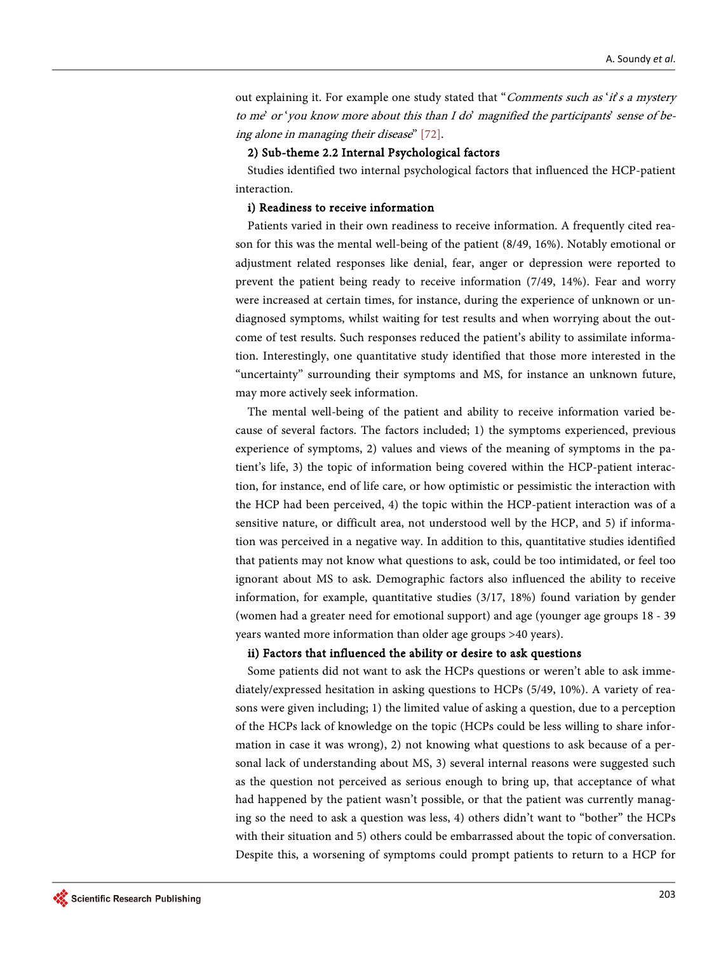out explaining it. For example one study stated that "Comments such as 'it's a mystery to me' or 'you know more about this than I do' magnified the participants' sense of being alone in managing their disease" [\[72\].](#page-28-3)

#### 2) Sub-theme 2.2 Internal Psychological factors

Studies identified two internal psychological factors that influenced the HCP-patient interaction.

#### i) Readiness to receive information

Patients varied in their own readiness to receive information. A frequently cited reason for this was the mental well-being of the patient (8/49, 16%). Notably emotional or adjustment related responses like denial, fear, anger or depression were reported to prevent the patient being ready to receive information (7/49, 14%). Fear and worry were increased at certain times, for instance, during the experience of unknown or undiagnosed symptoms, whilst waiting for test results and when worrying about the outcome of test results. Such responses reduced the patient's ability to assimilate information. Interestingly, one quantitative study identified that those more interested in the "uncertainty" surrounding their symptoms and MS, for instance an unknown future, may more actively seek information.

The mental well-being of the patient and ability to receive information varied because of several factors. The factors included; 1) the symptoms experienced, previous experience of symptoms, 2) values and views of the meaning of symptoms in the patient's life, 3) the topic of information being covered within the HCP-patient interaction, for instance, end of life care, or how optimistic or pessimistic the interaction with the HCP had been perceived, 4) the topic within the HCP-patient interaction was of a sensitive nature, or difficult area, not understood well by the HCP, and 5) if information was perceived in a negative way. In addition to this, quantitative studies identified that patients may not know what questions to ask, could be too intimidated, or feel too ignorant about MS to ask. Demographic factors also influenced the ability to receive information, for example, quantitative studies (3/17, 18%) found variation by gender (women had a greater need for emotional support) and age (younger age groups 18 - 39 years wanted more information than older age groups >40 years).

#### ii) Factors that influenced the ability or desire to ask questions

Some patients did not want to ask the HCPs questions or weren't able to ask immediately/expressed hesitation in asking questions to HCPs (5/49, 10%). A variety of reasons were given including; 1) the limited value of asking a question, due to a perception of the HCPs lack of knowledge on the topic (HCPs could be less willing to share information in case it was wrong), 2) not knowing what questions to ask because of a personal lack of understanding about MS, 3) several internal reasons were suggested such as the question not perceived as serious enough to bring up, that acceptance of what had happened by the patient wasn't possible, or that the patient was currently managing so the need to ask a question was less, 4) others didn't want to "bother" the HCPs with their situation and 5) others could be embarrassed about the topic of conversation. Despite this, a worsening of symptoms could prompt patients to return to a HCP for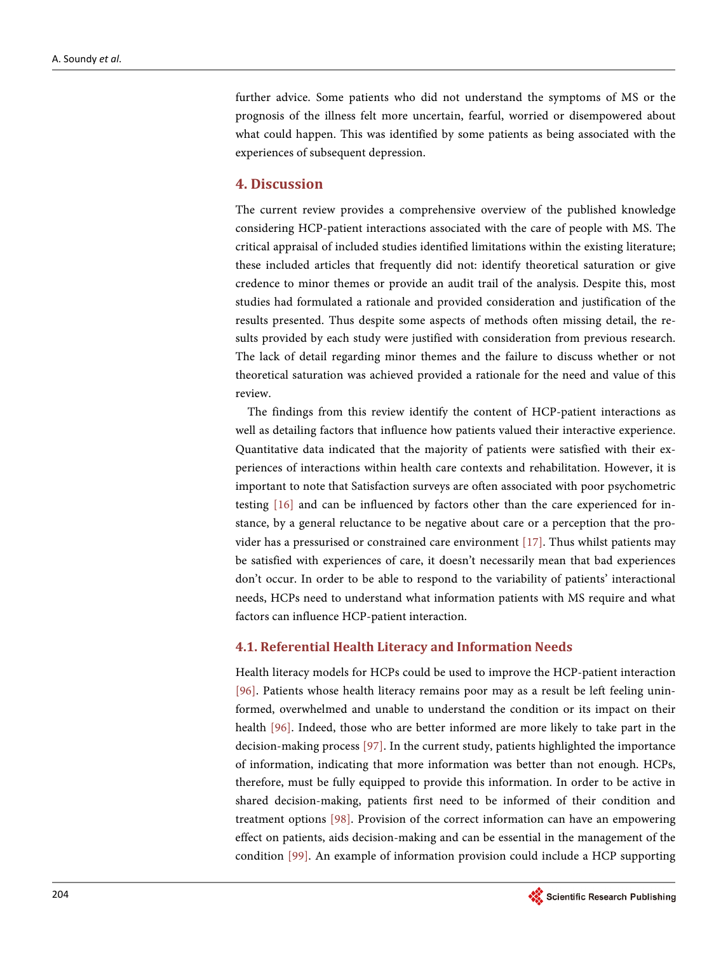further advice. Some patients who did not understand the symptoms of MS or the prognosis of the illness felt more uncertain, fearful, worried or disempowered about what could happen. This was identified by some patients as being associated with the experiences of subsequent depression.

#### **4. Discussion**

The current review provides a comprehensive overview of the published knowledge considering HCP-patient interactions associated with the care of people with MS. The critical appraisal of included studies identified limitations within the existing literature; these included articles that frequently did not: identify theoretical saturation or give credence to minor themes or provide an audit trail of the analysis. Despite this, most studies had formulated a rationale and provided consideration and justification of the results presented. Thus despite some aspects of methods often missing detail, the results provided by each study were justified with consideration from previous research. The lack of detail regarding minor themes and the failure to discuss whether or not theoretical saturation was achieved provided a rationale for the need and value of this review.

The findings from this review identify the content of HCP-patient interactions as well as detailing factors that influence how patients valued their interactive experience. Quantitative data indicated that the majority of patients were satisfied with their experiences of interactions within health care contexts and rehabilitation. However, it is important to note that Satisfaction surveys are often associated with poor psychometric testing [\[16\]](#page-24-9) and can be influenced by factors other than the care experienced for instance, by a general reluctance to be negative about care or a perception that the provider has a pressurised or constrained care environment [\[17\].](#page-24-10) Thus whilst patients may be satisfied with experiences of care, it doesn't necessarily mean that bad experiences don't occur. In order to be able to respond to the variability of patients' interactional needs, HCPs need to understand what information patients with MS require and what factors can influence HCP-patient interaction.

#### **4.1. Referential Health Literacy and Information Needs**

Health literacy models for HCPs could be used to improve the HCP-patient interaction [\[96\].](#page-29-2) Patients whose health literacy remains poor may as a result be left feeling uninformed, overwhelmed and unable to understand the condition or its impact on their health [\[96\].](#page-29-2) Indeed, those who are better informed are more likely to take part in the decision-making process [\[97\].](#page-29-3) In the current study, patients highlighted the importance of information, indicating that more information was better than not enough. HCPs, therefore, must be fully equipped to provide this information. In order to be active in shared decision-making, patients first need to be informed of their condition and treatment options [\[98\].](#page-29-4) Provision of the correct information can have an empowering effect on patients, aids decision-making and can be essential in the management of the condition [\[99\].](#page-29-5) An example of information provision could include a HCP supporting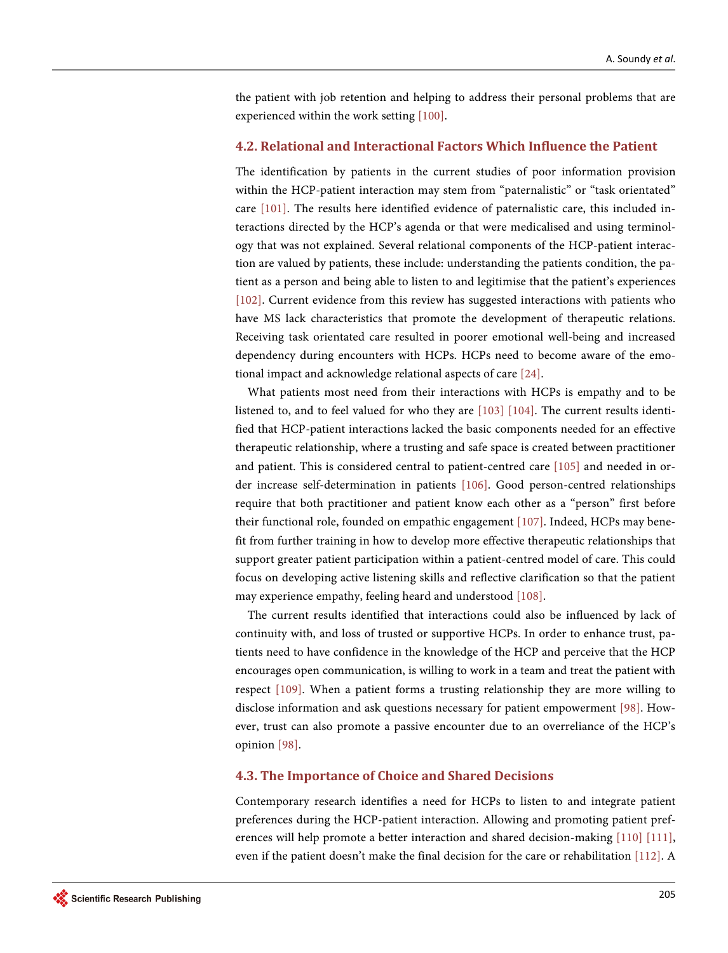the patient with job retention and helping to address their personal problems that are experienced within the work setting [\[100\].](#page-29-6)

#### **4.2. Relational and Interactional Factors Which Influence the Patient**

The identification by patients in the current studies of poor information provision within the HCP-patient interaction may stem from "paternalistic" or "task orientated" care [\[101\].](#page-29-7) The results here identified evidence of paternalistic care, this included interactions directed by the HCP's agenda or that were medicalised and using terminology that was not explained. Several relational components of the HCP-patient interaction are valued by patients, these include: understanding the patients condition, the patient as a person and being able to listen to and legitimise that the patient's experiences [\[102\].](#page-30-0) Current evidence from this review has suggested interactions with patients who have MS lack characteristics that promote the development of therapeutic relations. Receiving task orientated care resulted in poorer emotional well-being and increased dependency during encounters with HCPs. HCPs need to become aware of the emotional impact and acknowledge relational aspects of car[e \[24\].](#page-25-1)

What patients most need from their interactions with HCPs is empathy and to be listened to, and to feel valued for who they are [\[103\]](#page-30-1) [\[104\].](#page-30-2) The current results identified that HCP-patient interactions lacked the basic components needed for an effective therapeutic relationship, where a trusting and safe space is created between practitioner and patient. This is considered central to patient-centred care [\[105\]](#page-30-3) and needed in order increase self-determination in patients [\[106\].](#page-30-4) Good person-centred relationships require that both practitioner and patient know each other as a "person" first before their functional role, founded on empathic engagement [\[107\].](#page-30-5) Indeed, HCPs may benefit from further training in how to develop more effective therapeutic relationships that support greater patient participation within a patient-centred model of care. This could focus on developing active listening skills and reflective clarification so that the patient may experience empathy, feeling heard and understood [\[108\].](#page-30-6)

The current results identified that interactions could also be influenced by lack of continuity with, and loss of trusted or supportive HCPs. In order to enhance trust, patients need to have confidence in the knowledge of the HCP and perceive that the HCP encourages open communication, is willing to work in a team and treat the patient with respect [\[109\].](#page-30-7) When a patient forms a trusting relationship they are more willing to disclose information and ask questions necessary for patient empowerment [\[98\].](#page-29-4) However, trust can also promote a passive encounter due to an overreliance of the HCP's opinion [\[98\].](#page-29-4)

#### **4.3. The Importance of Choice and Shared Decisions**

Contemporary research identifies a need for HCPs to listen to and integrate patient preferences during the HCP-patient interaction. Allowing and promoting patient preferences will help promote a better interaction and shared decision-making [\[110\]](#page-30-8) [\[111\],](#page-30-9)  even if the patient doesn't make the final decision for the care or rehabilitation [\[112\].](#page-30-10) A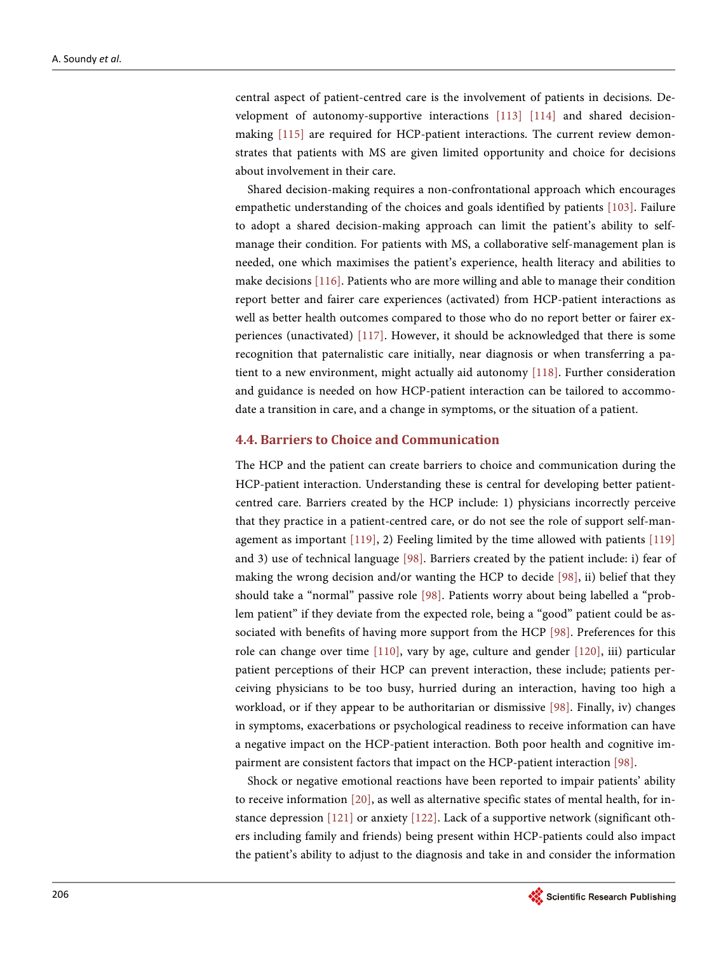central aspect of patient-centred care is the involvement of patients in decisions. Development of autonomy-supportive interactions [\[113\]](#page-30-11) [\[114\]](#page-30-12) and shared decisionmaking [\[115\]](#page-30-13) are required for HCP-patient interactions. The current review demonstrates that patients with MS are given limited opportunity and choice for decisions about involvement in their care.

Shared decision-making requires a non-confrontational approach which encourages empathetic understanding of the choices and goals identified by patients [\[103\].](#page-30-1) Failure to adopt a shared decision-making approach can limit the patient's ability to selfmanage their condition. For patients with MS, a collaborative self-management plan is needed, one which maximises the patient's experience, health literacy and abilities to make decisions [\[116\].](#page-30-14) Patients who are more willing and able to manage their condition report better and fairer care experiences (activated) from HCP-patient interactions as well as better health outcomes compared to those who do no report better or fairer experiences (unactivated) [\[117\].](#page-30-15) However, it should be acknowledged that there is some recognition that paternalistic care initially, near diagnosis or when transferring a patient to a new environment, might actually aid autonomy [\[118\].](#page-31-0) Further consideration and guidance is needed on how HCP-patient interaction can be tailored to accommodate a transition in care, and a change in symptoms, or the situation of a patient.

#### **4.4. Barriers to Choice and Communication**

The HCP and the patient can create barriers to choice and communication during the HCP-patient interaction. Understanding these is central for developing better patientcentred care. Barriers created by the HCP include: 1) physicians incorrectly perceive that they practice in a patient-centred care, or do not see the role of support self-management as important [\[119\],](#page-31-1) 2) Feeling limited by the time allowed with patients [\[119\]](#page-31-1) and 3) use of technical language [\[98\].](#page-29-4) Barriers created by the patient include: i) fear of making the wrong decision and/or wanting the HCP to decide [\[98\],](#page-29-4) ii) belief that they should take a "normal" passive role [\[98\].](#page-29-4) Patients worry about being labelled a "problem patient" if they deviate from the expected role, being a "good" patient could be associated with benefits of having more support from the HCP [\[98\].](#page-29-4) Preferences for this role can change over time [\[110\],](#page-30-8) vary by age, culture and gender [\[120\],](#page-31-2) iii) particular patient perceptions of their HCP can prevent interaction, these include; patients perceiving physicians to be too busy, hurried during an interaction, having too high a workload, or if they appear to be authoritarian or dismissive [\[98\].](#page-29-4) Finally, iv) changes in symptoms, exacerbations or psychological readiness to receive information can have a negative impact on the HCP-patient interaction. Both poor health and cognitive impairment are consistent factors that impact on the HCP-patient interaction [\[98\].](#page-29-4)

Shock or negative emotional reactions have been reported to impair patients' ability to receive information [\[20\],](#page-24-13) as well as alternative specific states of mental health, for instance depression [\[121\]](#page-31-3) or anxiety [\[122\].](#page-31-4) Lack of a supportive network (significant others including family and friends) being present within HCP-patients could also impact the patient's ability to adjust to the diagnosis and take in and consider the information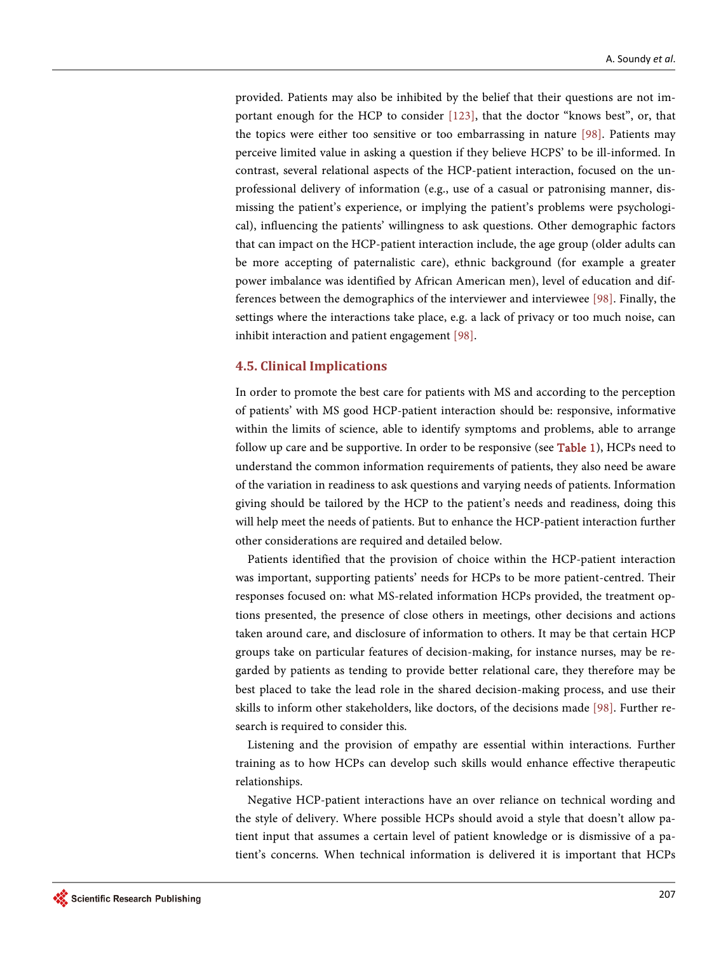provided. Patients may also be inhibited by the belief that their questions are not important enough for the HCP to consider [\[123\],](#page-31-5) that the doctor "knows best", or, that the topics were either too sensitive or too embarrassing in nature [\[98\].](#page-29-4) Patients may perceive limited value in asking a question if they believe HCPS' to be ill-informed. In contrast, several relational aspects of the HCP-patient interaction, focused on the unprofessional delivery of information (e.g., use of a casual or patronising manner, dismissing the patient's experience, or implying the patient's problems were psychological), influencing the patients' willingness to ask questions. Other demographic factors that can impact on the HCP-patient interaction include, the age group (older adults can be more accepting of paternalistic care), ethnic background (for example a greater power imbalance was identified by African American men), level of education and differences between the demographics of the interviewer and interviewee [\[98\].](#page-29-4) Finally, the settings where the interactions take place, e.g. a lack of privacy or too much noise, can inhibit interaction and patient engagement [\[98\].](#page-29-4)

#### **4.5. Clinical Implications**

In order to promote the best care for patients with MS and according to the perception of patients' with MS good HCP-patient interaction should be: responsive, informative within the limits of science, able to identify symptoms and problems, able to arrange follow up care and be supportive. In order to be responsive (se[e Table 1\)](#page-8-0), HCPs need to understand the common information requirements of patients, they also need be aware of the variation in readiness to ask questions and varying needs of patients. Information giving should be tailored by the HCP to the patient's needs and readiness, doing this will help meet the needs of patients. But to enhance the HCP-patient interaction further other considerations are required and detailed below.

Patients identified that the provision of choice within the HCP-patient interaction was important, supporting patients' needs for HCPs to be more patient-centred. Their responses focused on: what MS-related information HCPs provided, the treatment options presented, the presence of close others in meetings, other decisions and actions taken around care, and disclosure of information to others. It may be that certain HCP groups take on particular features of decision-making, for instance nurses, may be regarded by patients as tending to provide better relational care, they therefore may be best placed to take the lead role in the shared decision-making process, and use their skills to inform other stakeholders, like doctors, of the decisions made [\[98\].](#page-29-4) Further research is required to consider this.

Listening and the provision of empathy are essential within interactions. Further training as to how HCPs can develop such skills would enhance effective therapeutic relationships.

Negative HCP-patient interactions have an over reliance on technical wording and the style of delivery. Where possible HCPs should avoid a style that doesn't allow patient input that assumes a certain level of patient knowledge or is dismissive of a patient's concerns. When technical information is delivered it is important that HCPs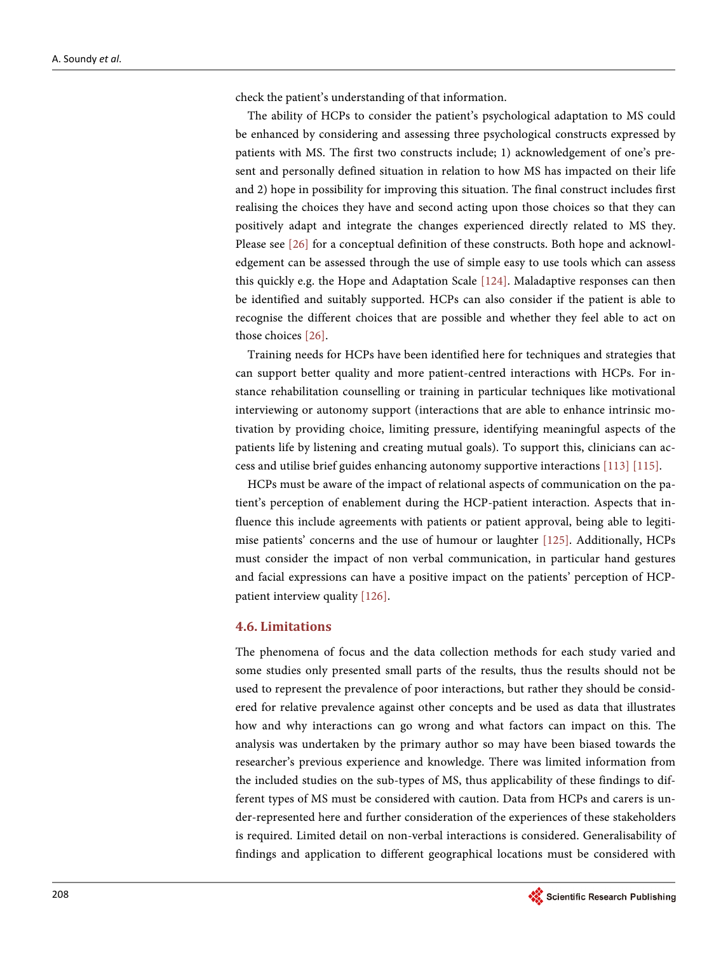check the patient's understanding of that information.

The ability of HCPs to consider the patient's psychological adaptation to MS could be enhanced by considering and assessing three psychological constructs expressed by patients with MS. The first two constructs include; 1) acknowledgement of one's present and personally defined situation in relation to how MS has impacted on their life and 2) hope in possibility for improving this situation. The final construct includes first realising the choices they have and second acting upon those choices so that they can positively adapt and integrate the changes experienced directly related to MS they. Please see [\[26\]](#page-25-3) for a conceptual definition of these constructs. Both hope and acknowledgement can be assessed through the use of simple easy to use tools which can assess this quickly e.g. the Hope and Adaptation Scale [\[124\].](#page-31-6) Maladaptive responses can then be identified and suitably supported. HCPs can also consider if the patient is able to recognise the different choices that are possible and whether they feel able to act on those choices [\[26\].](#page-25-3)

Training needs for HCPs have been identified here for techniques and strategies that can support better quality and more patient-centred interactions with HCPs. For instance rehabilitation counselling or training in particular techniques like motivational interviewing or autonomy support (interactions that are able to enhance intrinsic motivation by providing choice, limiting pressure, identifying meaningful aspects of the patients life by listening and creating mutual goals). To support this, clinicians can access and utilise brief guides enhancing autonomy supportive interaction[s \[113\]](#page-30-11) [\[115\].](#page-30-13)

HCPs must be aware of the impact of relational aspects of communication on the patient's perception of enablement during the HCP-patient interaction. Aspects that influence this include agreements with patients or patient approval, being able to legitimise patients' concerns and the use of humour or laughter [\[125\].](#page-31-7) Additionally, HCPs must consider the impact of non verbal communication, in particular hand gestures and facial expressions can have a positive impact on the patients' perception of HCPpatient interview quality [\[126\].](#page-31-8)

#### **4.6. Limitations**

The phenomena of focus and the data collection methods for each study varied and some studies only presented small parts of the results, thus the results should not be used to represent the prevalence of poor interactions, but rather they should be considered for relative prevalence against other concepts and be used as data that illustrates how and why interactions can go wrong and what factors can impact on this. The analysis was undertaken by the primary author so may have been biased towards the researcher's previous experience and knowledge. There was limited information from the included studies on the sub-types of MS, thus applicability of these findings to different types of MS must be considered with caution. Data from HCPs and carers is under-represented here and further consideration of the experiences of these stakeholders is required. Limited detail on non-verbal interactions is considered. Generalisability of findings and application to different geographical locations must be considered with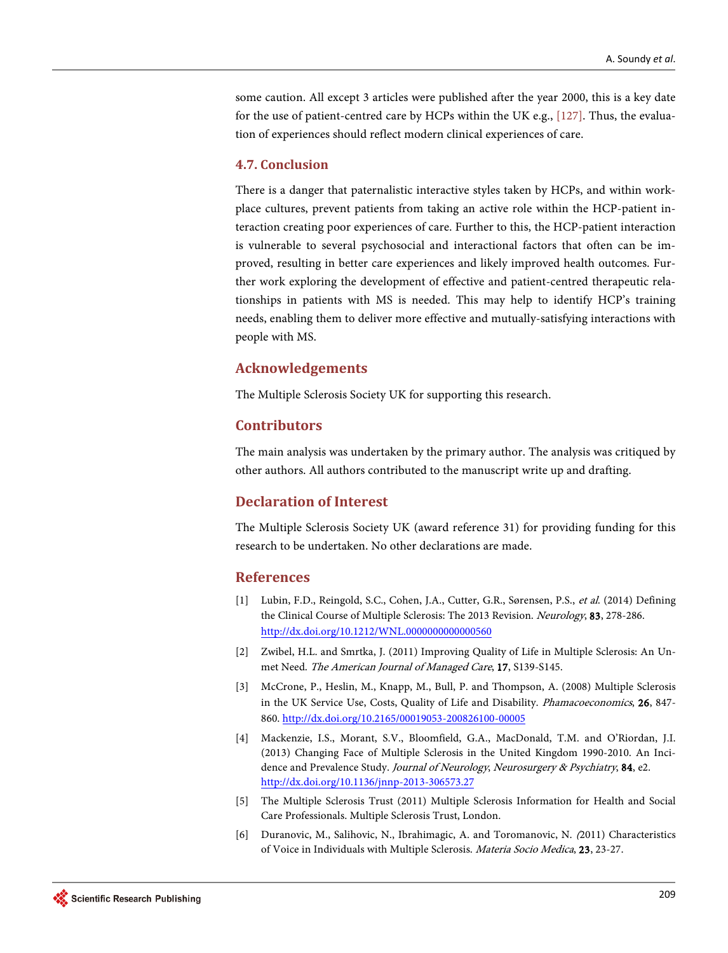some caution. All except 3 articles were published after the year 2000, this is a key date for the use of patient-centred care by HCPs within the UK e.g., [\[127\].](#page-31-9) Thus, the evaluation of experiences should reflect modern clinical experiences of care.

## **4.7. Conclusion**

There is a danger that paternalistic interactive styles taken by HCPs, and within workplace cultures, prevent patients from taking an active role within the HCP-patient interaction creating poor experiences of care. Further to this, the HCP-patient interaction is vulnerable to several psychosocial and interactional factors that often can be improved, resulting in better care experiences and likely improved health outcomes. Further work exploring the development of effective and patient-centred therapeutic relationships in patients with MS is needed. This may help to identify HCP's training needs, enabling them to deliver more effective and mutually-satisfying interactions with people with MS.

## **Acknowledgements**

The Multiple Sclerosis Society UK for supporting this research.

## **Contributors**

The main analysis was undertaken by the primary author. The analysis was critiqued by other authors. All authors contributed to the manuscript write up and drafting.

## **Declaration of Interest**

The Multiple Sclerosis Society UK (award reference 31) for providing funding for this research to be undertaken. No other declarations are made.

## **References**

- <span id="page-23-0"></span>[1] Lubin, F.D., Reingold, S.C., Cohen, J.A., Cutter, G.R., Sørensen, P.S., et al. (2014) Defining the Clinical Course of Multiple Sclerosis: The 2013 Revision. Neurology, 83, 278-286. <http://dx.doi.org/10.1212/WNL.0000000000000560>
- <span id="page-23-1"></span>[2] Zwibel, H.L. and Smrtka, J. (2011) Improving Quality of Life in Multiple Sclerosis: An Unmet Need. The American Journal of Managed Care, 17, S139-S145.
- <span id="page-23-2"></span>[3] McCrone, P., Heslin, M., Knapp, M., Bull, P. and Thompson, A. (2008) Multiple Sclerosis in the UK Service Use, Costs, Quality of Life and Disability. Phamacoeconomics, 26, 847- 860.<http://dx.doi.org/10.2165/00019053-200826100-00005>
- <span id="page-23-3"></span>[4] Mackenzie, I.S., Morant, S.V., Bloomfield, G.A., MacDonald, T.M. and O'Riordan, J.I. (2013) Changing Face of Multiple Sclerosis in the United Kingdom 1990-2010. An Incidence and Prevalence Study. Journal of Neurology, Neurosurgery & Psychiatry, 84, e2. <http://dx.doi.org/10.1136/jnnp-2013-306573.27>
- <span id="page-23-4"></span>[5] The Multiple Sclerosis Trust (2011) Multiple Sclerosis Information for Health and Social Care Professionals. Multiple Sclerosis Trust, London.
- <span id="page-23-5"></span>[6] Duranovic, M., Salihovic, N., Ibrahimagic, A. and Toromanovic, N. (2011) Characteristics of Voice in Individuals with Multiple Sclerosis. Materia Socio Medica, 23, 23-27.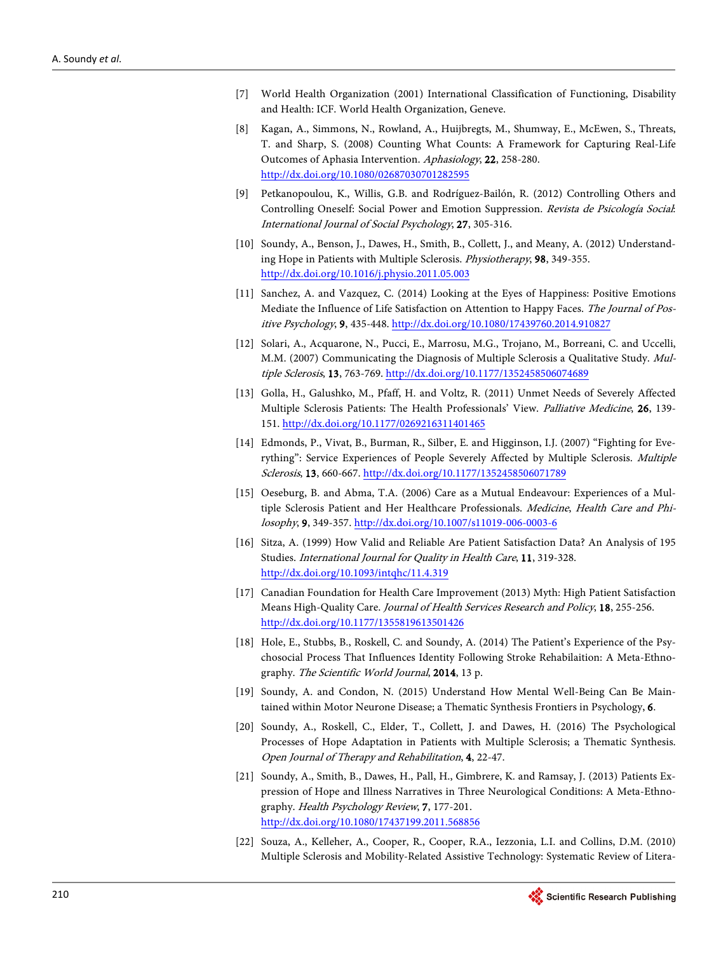- <span id="page-24-0"></span>[7] World Health Organization (2001) International Classification of Functioning, Disability and Health: ICF. World Health Organization, Geneve.
- <span id="page-24-1"></span>[8] Kagan, A., Simmons, N., Rowland, A., Huijbregts, M., Shumway, E., McEwen, S., Threats, T. and Sharp, S. (2008) Counting What Counts: A Framework for Capturing Real-Life Outcomes of Aphasia Intervention. Aphasiology, 22, 258-280. <http://dx.doi.org/10.1080/02687030701282595>
- <span id="page-24-2"></span>[9] Petkanopoulou, K., Willis, G.B. and Rodríguez-Bailón, R. (2012) Controlling Others and Controlling Oneself: Social Power and Emotion Suppression. Revista de Psicología Social: International Journal of Social Psychology, 27, 305-316.
- <span id="page-24-3"></span>[10] Soundy, A., Benson, J., Dawes, H., Smith, B., Collett, J., and Meany, A. (2012) Understanding Hope in Patients with Multiple Sclerosis. Physiotherapy, 98, 349-355. <http://dx.doi.org/10.1016/j.physio.2011.05.003>
- <span id="page-24-4"></span>[11] Sanchez, A. and Vazquez, C. (2014) Looking at the Eyes of Happiness: Positive Emotions Mediate the Influence of Life Satisfaction on Attention to Happy Faces. The Journal of Positive Psychology, 9, 435-448[. http://dx.doi.org/10.1080/17439760.2014.910827](http://dx.doi.org/10.1080/17439760.2014.910827)
- <span id="page-24-5"></span>[12] Solari, A., Acquarone, N., Pucci, E., Marrosu, M.G., Trojano, M., Borreani, C. and Uccelli, M.M. (2007) Communicating the Diagnosis of Multiple Sclerosis a Qualitative Study. Mul-tiple Sclerosis, 13, 763-769[. http://dx.doi.org/10.1177/1352458506074689](http://dx.doi.org/10.1177/1352458506074689)
- <span id="page-24-6"></span>[13] Golla, H., Galushko, M., Pfaff, H. and Voltz, R. (2011) Unmet Needs of Severely Affected Multiple Sclerosis Patients: The Health Professionals' View. Palliative Medicine, 26, 139- 151.<http://dx.doi.org/10.1177/0269216311401465>
- <span id="page-24-7"></span>[14] Edmonds, P., Vivat, B., Burman, R., Silber, E. and Higginson, I.J. (2007) "Fighting for Everything": Service Experiences of People Severely Affected by Multiple Sclerosis. Multiple Sclerosis, 13, 660-667. <http://dx.doi.org/10.1177/1352458506071789>
- <span id="page-24-8"></span>[15] Oeseburg, B. and Abma, T.A. (2006) Care as a Mutual Endeavour: Experiences of a Multiple Sclerosis Patient and Her Healthcare Professionals. Medicine, Health Care and Philosophy, 9, 349-357[. http://dx.doi.org/10.1007/s11019-006-0003-6](http://dx.doi.org/10.1007/s11019-006-0003-6)
- <span id="page-24-9"></span>[16] Sitza, A. (1999) How Valid and Reliable Are Patient Satisfaction Data? An Analysis of 195 Studies. International Journal for Quality in Health Care, 11, 319-328. <http://dx.doi.org/10.1093/intqhc/11.4.319>
- <span id="page-24-10"></span>[17] Canadian Foundation for Health Care Improvement (2013) Myth: High Patient Satisfaction Means High-Quality Care. Journal of Health Services Research and Policy, 18, 255-256. <http://dx.doi.org/10.1177/1355819613501426>
- <span id="page-24-11"></span>[18] Hole, E., Stubbs, B., Roskell, C. and Soundy, A. (2014) The Patient's Experience of the Psychosocial Process That Influences Identity Following Stroke Rehabilaition: A Meta-Ethnography. The Scientific World Journal, 2014, 13 p.
- <span id="page-24-12"></span>[19] Soundy, A. and Condon, N. (2015) Understand How Mental Well-Being Can Be Maintained within Motor Neurone Disease; a Thematic Synthesis Frontiers in Psychology, 6.
- <span id="page-24-13"></span>[20] Soundy, A., Roskell, C., Elder, T., Collett, J. and Dawes, H. (2016) The Psychological Processes of Hope Adaptation in Patients with Multiple Sclerosis; a Thematic Synthesis. Open Journal of Therapy and Rehabilitation, 4, 22-47.
- <span id="page-24-14"></span>[21] Soundy, A., Smith, B., Dawes, H., Pall, H., Gimbrere, K. and Ramsay, J. (2013) Patients Expression of Hope and Illness Narratives in Three Neurological Conditions: A Meta-Ethnography. Health Psychology Review, 7, 177-201. <http://dx.doi.org/10.1080/17437199.2011.568856>
- <span id="page-24-15"></span>[22] Souza, A., Kelleher, A., Cooper, R., Cooper, R.A., Iezzonia, L.I. and Collins, D.M. (2010) Multiple Sclerosis and Mobility-Related Assistive Technology: Systematic Review of Litera-

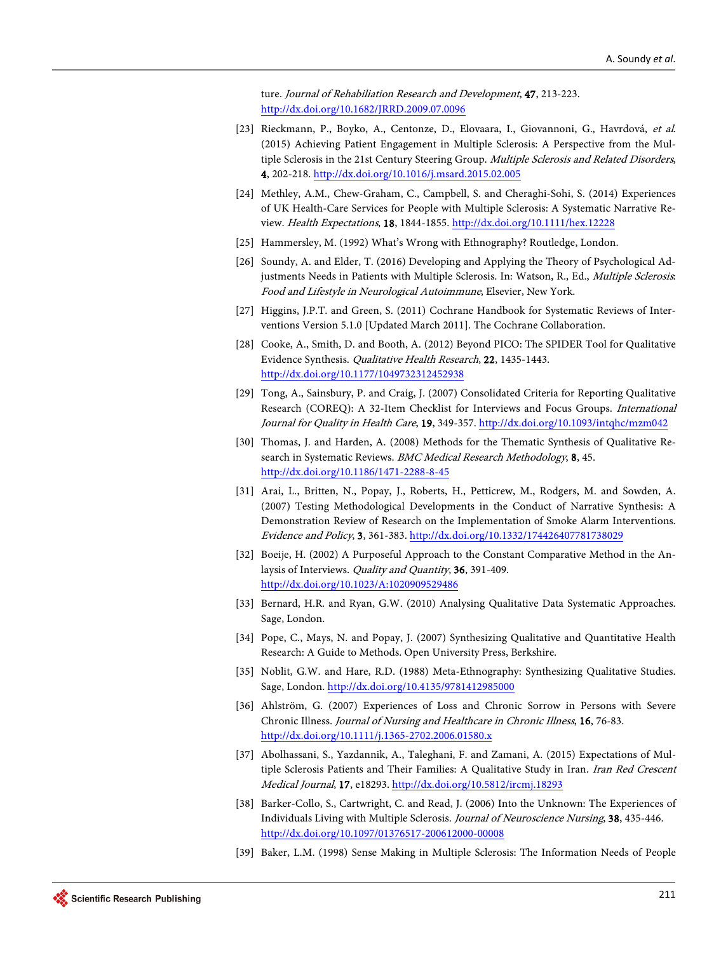ture. Journal of Rehabiliation Research and Development, 47, 213-223. <http://dx.doi.org/10.1682/JRRD.2009.07.0096>

- <span id="page-25-0"></span>[23] Rieckmann, P., Boyko, A., Centonze, D., Elovaara, I., Giovannoni, G., Havrdová, et al. (2015) Achieving Patient Engagement in Multiple Sclerosis: A Perspective from the Multiple Sclerosis in the 21st Century Steering Group. Multiple Sclerosis and Related Disorders, 4, 202-218[. http://dx.doi.org/10.1016/j.msard.2015.02.005](http://dx.doi.org/10.1016/j.msard.2015.02.005)
- <span id="page-25-1"></span>[24] Methley, A.M., Chew-Graham, C., Campbell, S. and Cheraghi-Sohi, S. (2014) Experiences of UK Health-Care Services for People with Multiple Sclerosis: A Systematic Narrative Review. Health Expectations, 18, 1844-1855.<http://dx.doi.org/10.1111/hex.12228>
- <span id="page-25-2"></span>[25] Hammersley, M. (1992) What's Wrong with Ethnography? Routledge, London.
- <span id="page-25-3"></span>[26] Soundy, A. and Elder, T. (2016) Developing and Applying the Theory of Psychological Adjustments Needs in Patients with Multiple Sclerosis. In: Watson, R., Ed., Multiple Sclerosis: Food and Lifestyle in Neurological Autoimmune, Elsevier, New York.
- <span id="page-25-4"></span>[27] Higgins, J.P.T. and Green, S. (2011) Cochrane Handbook for Systematic Reviews of Interventions Version 5.1.0 [Updated March 2011]. The Cochrane Collaboration.
- <span id="page-25-5"></span>[28] Cooke, A., Smith, D. and Booth, A. (2012) Beyond PICO: The SPIDER Tool for Qualitative Evidence Synthesis. Qualitative Health Research, 22, 1435-1443. <http://dx.doi.org/10.1177/1049732312452938>
- <span id="page-25-6"></span>[29] Tong, A., Sainsbury, P. and Craig, J. (2007) Consolidated Criteria for Reporting Qualitative Research (COREQ): A 32-Item Checklist for Interviews and Focus Groups. International Journal for Quality in Health Care, 19, 349-357.<http://dx.doi.org/10.1093/intqhc/mzm042>
- <span id="page-25-7"></span>[30] Thomas, J. and Harden, A. (2008) Methods for the Thematic Synthesis of Qualitative Research in Systematic Reviews. BMC Medical Research Methodology, 8, 45. <http://dx.doi.org/10.1186/1471-2288-8-45>
- <span id="page-25-8"></span>[31] Arai, L., Britten, N., Popay, J., Roberts, H., Petticrew, M., Rodgers, M. and Sowden, A. (2007) Testing Methodological Developments in the Conduct of Narrative Synthesis: A Demonstration Review of Research on the Implementation of Smoke Alarm Interventions. Evidence and Policy, 3, 361-383[. http://dx.doi.org/10.1332/174426407781738029](http://dx.doi.org/10.1332/174426407781738029)
- <span id="page-25-9"></span>[32] Boeije, H. (2002) A Purposeful Approach to the Constant Comparative Method in the Anlaysis of Interviews. Quality and Quantity, 36, 391-409. <http://dx.doi.org/10.1023/A:1020909529486>
- <span id="page-25-10"></span>[33] Bernard, H.R. and Ryan, G.W. (2010) Analysing Qualitative Data Systematic Approaches. Sage, London.
- <span id="page-25-11"></span>[34] Pope, C., Mays, N. and Popay, J. (2007) Synthesizing Qualitative and Quantitative Health Research: A Guide to Methods. Open University Press, Berkshire.
- <span id="page-25-12"></span>[35] Noblit, G.W. and Hare, R.D. (1988) Meta-Ethnography: Synthesizing Qualitative Studies. Sage, London. <http://dx.doi.org/10.4135/9781412985000>
- <span id="page-25-13"></span>[36] Ahlström, G. (2007) Experiences of Loss and Chronic Sorrow in Persons with Severe Chronic Illness. Journal of Nursing and Healthcare in Chronic Illness, 16, 76-83. <http://dx.doi.org/10.1111/j.1365-2702.2006.01580.x>
- <span id="page-25-14"></span>[37] Abolhassani, S., Yazdannik, A., Taleghani, F. and Zamani, A. (2015) Expectations of Multiple Sclerosis Patients and Their Families: A Qualitative Study in Iran. Iran Red Crescent Medical Journal, 17, e18293[. http://dx.doi.org/10.5812/ircmj.18293](http://dx.doi.org/10.5812/ircmj.18293)
- <span id="page-25-15"></span>[38] Barker-Collo, S., Cartwright, C. and Read, J. (2006) Into the Unknown: The Experiences of Individuals Living with Multiple Sclerosis. Journal of Neuroscience Nursing, 38, 435-446. <http://dx.doi.org/10.1097/01376517-200612000-00008>
- <span id="page-25-16"></span>[39] Baker, L.M. (1998) Sense Making in Multiple Sclerosis: The Information Needs of People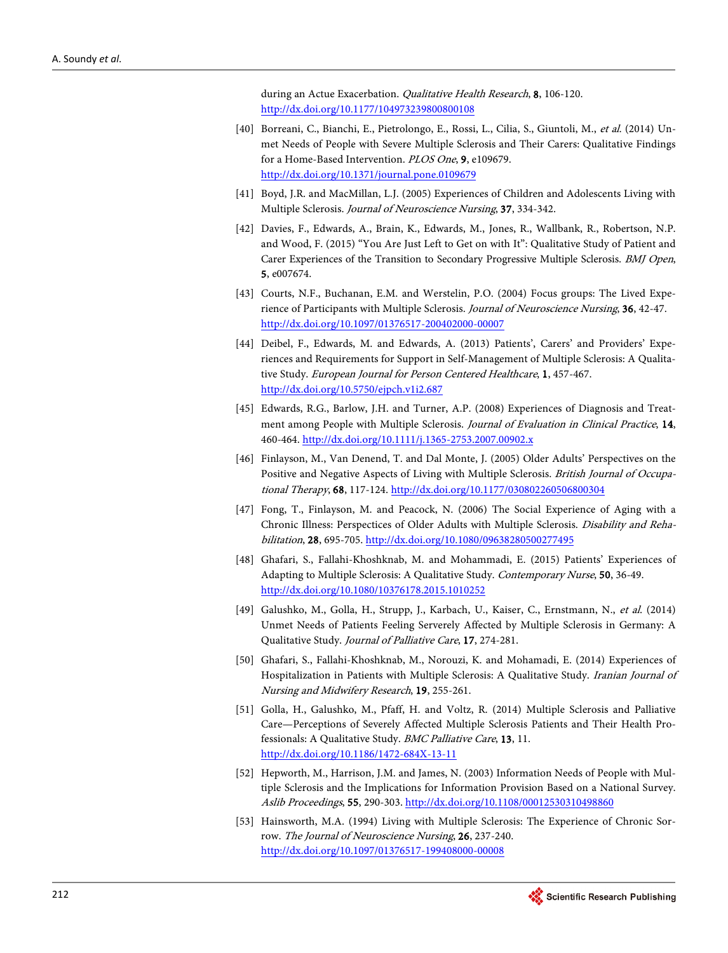during an Actue Exacerbation. Qualitative Health Research, 8, 106-120. <http://dx.doi.org/10.1177/104973239800800108>

- <span id="page-26-0"></span>[40] Borreani, C., Bianchi, E., Pietrolongo, E., Rossi, L., Cilia, S., Giuntoli, M., et al. (2014) Unmet Needs of People with Severe Multiple Sclerosis and Their Carers: Qualitative Findings for a Home-Based Intervention. PLOS One, 9, e109679. <http://dx.doi.org/10.1371/journal.pone.0109679>
- <span id="page-26-1"></span>[41] Boyd, J.R. and MacMillan, L.J. (2005) Experiences of Children and Adolescents Living with Multiple Sclerosis. Journal of Neuroscience Nursing, 37, 334-342.
- <span id="page-26-2"></span>[42] Davies, F., Edwards, A., Brain, K., Edwards, M., Jones, R., Wallbank, R., Robertson, N.P. and Wood, F. (2015) "You Are Just Left to Get on with It": Qualitative Study of Patient and Carer Experiences of the Transition to Secondary Progressive Multiple Sclerosis. BMJ Open, 5, e007674.
- <span id="page-26-3"></span>[43] Courts, N.F., Buchanan, E.M. and Werstelin, P.O. (2004) Focus groups: The Lived Experience of Participants with Multiple Sclerosis. Journal of Neuroscience Nursing, 36, 42-47. <http://dx.doi.org/10.1097/01376517-200402000-00007>
- <span id="page-26-4"></span>[44] Deibel, F., Edwards, M. and Edwards, A. (2013) Patients', Carers' and Providers' Experiences and Requirements for Support in Self-Management of Multiple Sclerosis: A Qualitative Study. European Journal for Person Centered Healthcare, 1, 457-467. <http://dx.doi.org/10.5750/ejpch.v1i2.687>
- <span id="page-26-5"></span>[45] Edwards, R.G., Barlow, J.H. and Turner, A.P. (2008) Experiences of Diagnosis and Treatment among People with Multiple Sclerosis. Journal of Evaluation in Clinical Practice, 14, 460-464[. http://dx.doi.org/10.1111/j.1365-2753.2007.00902.x](http://dx.doi.org/10.1111/j.1365-2753.2007.00902.x)
- <span id="page-26-6"></span>[46] Finlayson, M., Van Denend, T. and Dal Monte, J. (2005) Older Adults' Perspectives on the Positive and Negative Aspects of Living with Multiple Sclerosis. British Journal of Occupational Therapy, 68, 117-124[. http://dx.doi.org/10.1177/030802260506800304](http://dx.doi.org/10.1177/030802260506800304)
- <span id="page-26-7"></span>[47] Fong, T., Finlayson, M. and Peacock, N. (2006) The Social Experience of Aging with a Chronic Illness: Perspectices of Older Adults with Multiple Sclerosis. Disability and Rehabilitation, 28, 695-705.<http://dx.doi.org/10.1080/09638280500277495>
- <span id="page-26-8"></span>[48] Ghafari, S., Fallahi-Khoshknab, M. and Mohammadi, E. (2015) Patients' Experiences of Adapting to Multiple Sclerosis: A Qualitative Study. Contemporary Nurse, 50, 36-49. <http://dx.doi.org/10.1080/10376178.2015.1010252>
- <span id="page-26-9"></span>[49] Galushko, M., Golla, H., Strupp, J., Karbach, U., Kaiser, C., Ernstmann, N., et al. (2014) Unmet Needs of Patients Feeling Serverely Affected by Multiple Sclerosis in Germany: A Qualitative Study. Journal of Palliative Care, 17, 274-281.
- <span id="page-26-10"></span>[50] Ghafari, S., Fallahi-Khoshknab, M., Norouzi, K. and Mohamadi, E. (2014) Experiences of Hospitalization in Patients with Multiple Sclerosis: A Qualitative Study. Iranian Journal of Nursing and Midwifery Research, 19, 255-261.
- [51] Golla, H., Galushko, M., Pfaff, H. and Voltz, R. (2014) Multiple Sclerosis and Palliative Care—Perceptions of Severely Affected Multiple Sclerosis Patients and Their Health Professionals: A Qualitative Study. BMC Palliative Care, 13, 11. <http://dx.doi.org/10.1186/1472-684X-13-11>
- [52] Hepworth, M., Harrison, J.M. and James, N. (2003) Information Needs of People with Multiple Sclerosis and the Implications for Information Provision Based on a National Survey. Aslib Proceedings, 55, 290-303[. http://dx.doi.org/10.1108/00012530310498860](http://dx.doi.org/10.1108/00012530310498860)
- [53] Hainsworth, M.A. (1994) Living with Multiple Sclerosis: The Experience of Chronic Sorrow. The Journal of Neuroscience Nursing, 26, 237-240. <http://dx.doi.org/10.1097/01376517-199408000-00008>

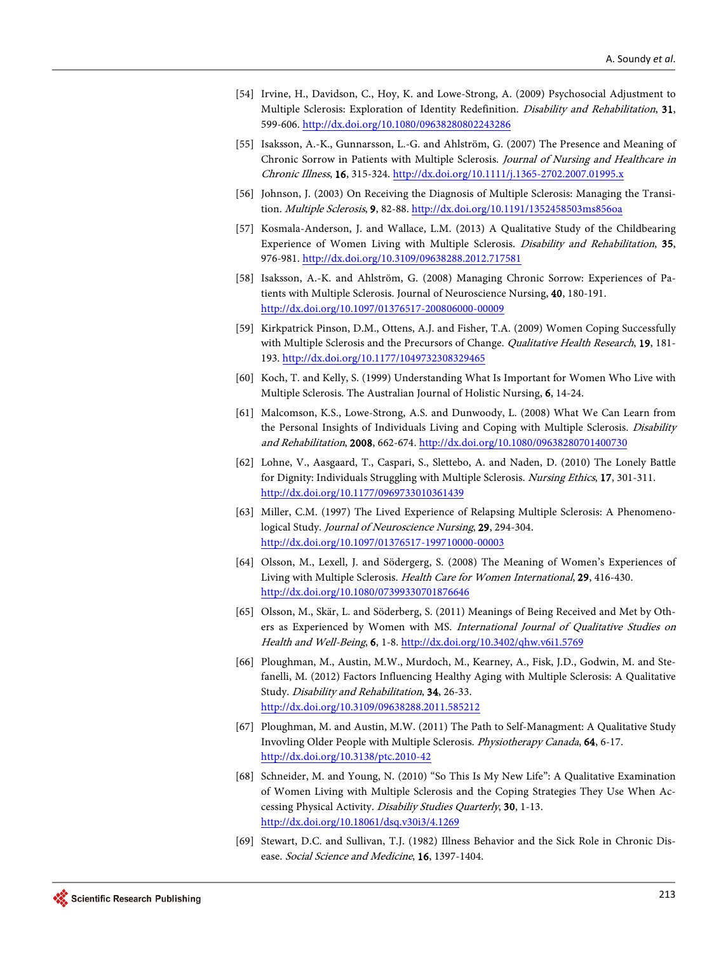- <span id="page-27-0"></span>[54] Irvine, H., Davidson, C., Hoy, K. and Lowe-Strong, A. (2009) Psychosocial Adjustment to Multiple Sclerosis: Exploration of Identity Redefinition. Disability and Rehabilitation, 31, 599-606[. http://dx.doi.org/10.1080/09638280802243286](http://dx.doi.org/10.1080/09638280802243286)
- [55] Isaksson, A.-K., Gunnarsson, L.-G. and Ahlström, G. (2007) The Presence and Meaning of Chronic Sorrow in Patients with Multiple Sclerosis. Journal of Nursing and Healthcare in Chronic Illness, 16, 315-324[. http://dx.doi.org/10.1111/j.1365-2702.2007.01995.x](http://dx.doi.org/10.1111/j.1365-2702.2007.01995.x)
- [56] Johnson, J. (2003) On Receiving the Diagnosis of Multiple Sclerosis: Managing the Transition. Multiple Sclerosis, 9, 82-88.<http://dx.doi.org/10.1191/1352458503ms856oa>
- [57] Kosmala-Anderson, J. and Wallace, L.M. (2013) A Qualitative Study of the Childbearing Experience of Women Living with Multiple Sclerosis. Disability and Rehabilitation, 35, 976-981[. http://dx.doi.org/10.3109/09638288.2012.717581](http://dx.doi.org/10.3109/09638288.2012.717581)
- [58] Isaksson, A.-K. and Ahlström, G. (2008) Managing Chronic Sorrow: Experiences of Patients with Multiple Sclerosis. Journal of Neuroscience Nursing, 40, 180-191. <http://dx.doi.org/10.1097/01376517-200806000-00009>
- [59] Kirkpatrick Pinson, D.M., Ottens, A.J. and Fisher, T.A. (2009) Women Coping Successfully with Multiple Sclerosis and the Precursors of Change. *Qualitative Health Research*, 19, 181-193.<http://dx.doi.org/10.1177/1049732308329465>
- [60] Koch, T. and Kelly, S. (1999) Understanding What Is Important for Women Who Live with Multiple Sclerosis. The Australian Journal of Holistic Nursing, 6, 14-24.
- <span id="page-27-1"></span>[61] Malcomson, K.S., Lowe-Strong, A.S. and Dunwoody, L. (2008) What We Can Learn from the Personal Insights of Individuals Living and Coping with Multiple Sclerosis. Disability and Rehabilitation, 2008, 662-674.<http://dx.doi.org/10.1080/09638280701400730>
- [62] Lohne, V., Aasgaard, T., Caspari, S., Slettebo, A. and Naden, D. (2010) The Lonely Battle for Dignity: Individuals Struggling with Multiple Sclerosis. Nursing Ethics, 17, 301-311. <http://dx.doi.org/10.1177/0969733010361439>
- [63] Miller, C.M. (1997) The Lived Experience of Relapsing Multiple Sclerosis: A Phenomenological Study. Journal of Neuroscience Nursing, 29, 294-304. <http://dx.doi.org/10.1097/01376517-199710000-00003>
- [64] Olsson, M., Lexell, J. and Södergerg, S. (2008) The Meaning of Women's Experiences of Living with Multiple Sclerosis. Health Care for Women International, 29, 416-430. <http://dx.doi.org/10.1080/07399330701876646>
- [65] Olsson, M., Skär, L. and Söderberg, S. (2011) Meanings of Being Received and Met by Others as Experienced by Women with MS. International Journal of Qualitative Studies on Health and Well-Being, 6, 1-8[. http://dx.doi.org/10.3402/qhw.v6i1.5769](http://dx.doi.org/10.3402/qhw.v6i1.5769)
- [66] Ploughman, M., Austin, M.W., Murdoch, M., Kearney, A., Fisk, J.D., Godwin, M. and Stefanelli, M. (2012) Factors Influencing Healthy Aging with Multiple Sclerosis: A Qualitative Study. Disability and Rehabilitation, 34, 26-33. <http://dx.doi.org/10.3109/09638288.2011.585212>
- [67] Ploughman, M. and Austin, M.W. (2011) The Path to Self-Managment: A Qualitative Study Invovling Older People with Multiple Sclerosis. Physiotherapy Canada, 64, 6-17. <http://dx.doi.org/10.3138/ptc.2010-42>
- [68] Schneider, M. and Young, N. (2010) "So This Is My New Life": A Qualitative Examination of Women Living with Multiple Sclerosis and the Coping Strategies They Use When Accessing Physical Activity. Disabiliy Studies Quarterly, 30, 1-13. <http://dx.doi.org/10.18061/dsq.v30i3/4.1269>
- [69] Stewart, D.C. and Sullivan, T.J. (1982) Illness Behavior and the Sick Role in Chronic Disease. Social Science and Medicine, 16, 1397-1404.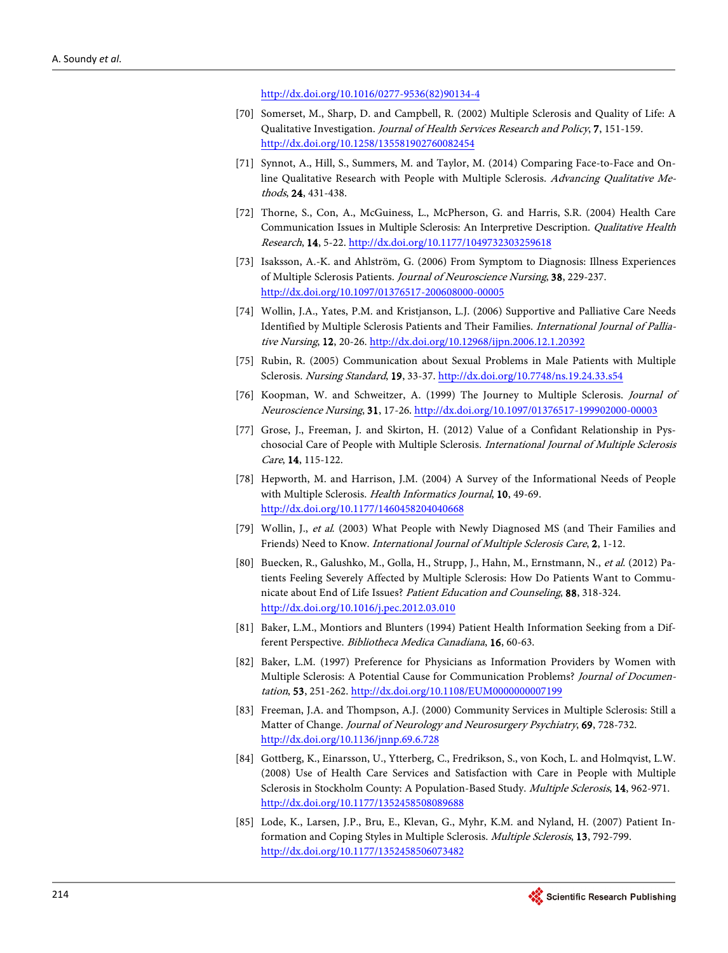[http://dx.doi.org/10.1016/0277-9536\(82\)90134-4](http://dx.doi.org/10.1016/0277-9536(82)90134-4)

- [70] Somerset, M., Sharp, D. and Campbell, R. (2002) Multiple Sclerosis and Quality of Life: A Qualitative Investigation. Journal of Health Services Research and Policy, 7, 151-159. <http://dx.doi.org/10.1258/135581902760082454>
- [71] Synnot, A., Hill, S., Summers, M. and Taylor, M. (2014) Comparing Face-to-Face and Online Qualitative Research with People with Multiple Sclerosis. Advancing Qualitative Methods, 24, 431-438.
- <span id="page-28-3"></span>[72] Thorne, S., Con, A., McGuiness, L., McPherson, G. and Harris, S.R. (2004) Health Care Communication Issues in Multiple Sclerosis: An Interpretive Description. Qualitative Health Research, 14, 5-22[. http://dx.doi.org/10.1177/1049732303259618](http://dx.doi.org/10.1177/1049732303259618)
- [73] Isaksson, A.-K. and Ahlström, G. (2006) From Symptom to Diagnosis: Illness Experiences of Multiple Sclerosis Patients. Journal of Neuroscience Nursing, 38, 229-237. <http://dx.doi.org/10.1097/01376517-200608000-00005>
- [74] Wollin, J.A., Yates, P.M. and Kristjanson, L.J. (2006) Supportive and Palliative Care Needs Identified by Multiple Sclerosis Patients and Their Families. International Journal of Palliative Nursing, 12, 20-26. <http://dx.doi.org/10.12968/ijpn.2006.12.1.20392>
- [75] Rubin, R. (2005) Communication about Sexual Problems in Male Patients with Multiple Sclerosis. Nursing Standard, 19, 33-37[. http://dx.doi.org/10.7748/ns.19.24.33.s54](http://dx.doi.org/10.7748/ns.19.24.33.s54)
- [76] Koopman, W. and Schweitzer, A. (1999) The Journey to Multiple Sclerosis. Journal of Neuroscience Nursing, 31, 17-26.<http://dx.doi.org/10.1097/01376517-199902000-00003>
- <span id="page-28-2"></span>[77] Grose, J., Freeman, J. and Skirton, H. (2012) Value of a Confidant Relationship in Pyschosocial Care of People with Multiple Sclerosis. International Journal of Multiple Sclerosis Care, 14, 115-122.
- <span id="page-28-1"></span>[78] Hepworth, M. and Harrison, J.M. (2004) A Survey of the Informational Needs of People with Multiple Sclerosis. Health Informatics Journal, 10, 49-69. <http://dx.doi.org/10.1177/1460458204040668>
- <span id="page-28-0"></span>[79] Wollin, J., et al. (2003) What People with Newly Diagnosed MS (and Their Families and Friends) Need to Know. International Journal of Multiple Sclerosis Care, 2, 1-12.
- [80] Buecken, R., Galushko, M., Golla, H., Strupp, J., Hahn, M., Ernstmann, N., et al. (2012) Patients Feeling Severely Affected by Multiple Sclerosis: How Do Patients Want to Communicate about End of Life Issues? Patient Education and Counseling, 88, 318-324. <http://dx.doi.org/10.1016/j.pec.2012.03.010>
- [81] Baker, L.M., Montiors and Blunters (1994) Patient Health Information Seeking from a Different Perspective. Bibliotheca Medica Canadiana, 16, 60-63.
- [82] Baker, L.M. (1997) Preference for Physicians as Information Providers by Women with Multiple Sclerosis: A Potential Cause for Communication Problems? Journal of Documentation, 53, 251-262[. http://dx.doi.org/10.1108/EUM0000000007199](http://dx.doi.org/10.1108/EUM0000000007199)
- [83] Freeman, J.A. and Thompson, A.J. (2000) Community Services in Multiple Sclerosis: Still a Matter of Change. Journal of Neurology and Neurosurgery Psychiatry, 69, 728-732. <http://dx.doi.org/10.1136/jnnp.69.6.728>
- [84] Gottberg, K., Einarsson, U., Ytterberg, C., Fredrikson, S., von Koch, L. and Holmqvist, L.W. (2008) Use of Health Care Services and Satisfaction with Care in People with Multiple Sclerosis in Stockholm County: A Population-Based Study. Multiple Sclerosis, 14, 962-971. <http://dx.doi.org/10.1177/1352458508089688>
- [85] Lode, K., Larsen, J.P., Bru, E., Klevan, G., Myhr, K.M. and Nyland, H. (2007) Patient Information and Coping Styles in Multiple Sclerosis. Multiple Sclerosis, 13, 792-799. <http://dx.doi.org/10.1177/1352458506073482>

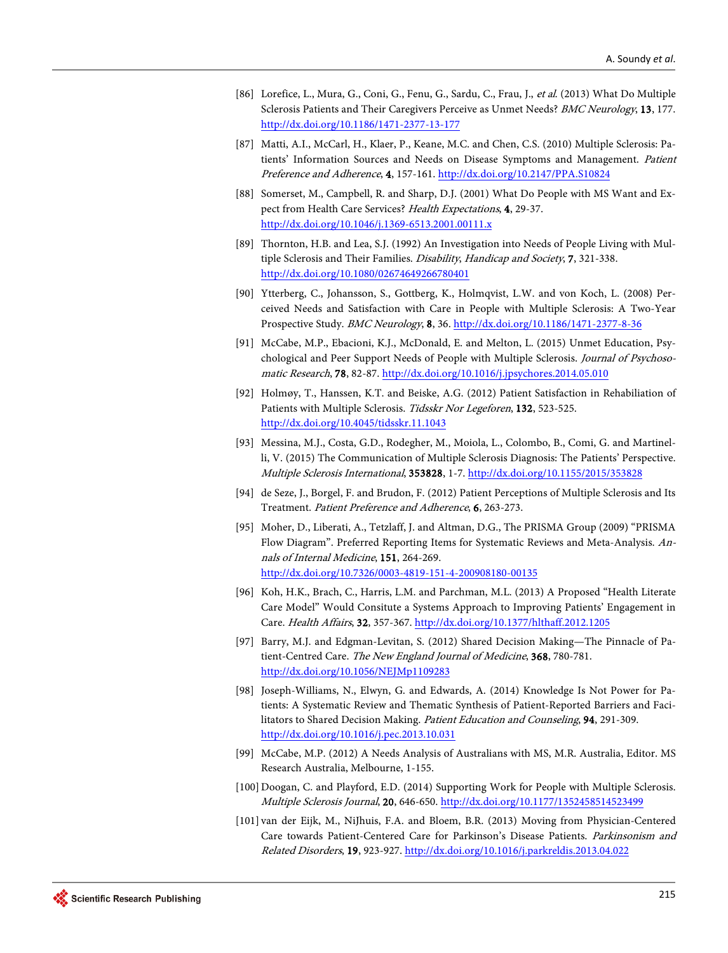- [86] Lorefice, L., Mura, G., Coni, G., Fenu, G., Sardu, C., Frau, J., et al. (2013) What Do Multiple Sclerosis Patients and Their Caregivers Perceive as Unmet Needs? BMC Neurology, 13, 177. <http://dx.doi.org/10.1186/1471-2377-13-177>
- [87] Matti, A.I., McCarl, H., Klaer, P., Keane, M.C. and Chen, C.S. (2010) Multiple Sclerosis: Patients' Information Sources and Needs on Disease Symptoms and Management. Patient Preference and Adherence, 4, 157-161[. http://dx.doi.org/10.2147/PPA.S10824](http://dx.doi.org/10.2147/PPA.S10824)
- [88] Somerset, M., Campbell, R. and Sharp, D.J. (2001) What Do People with MS Want and Expect from Health Care Services? Health Expectations, 4, 29-37. <http://dx.doi.org/10.1046/j.1369-6513.2001.00111.x>
- [89] Thornton, H.B. and Lea, S.J. (1992) An Investigation into Needs of People Living with Multiple Sclerosis and Their Families. Disability, Handicap and Society, 7, 321-338. <http://dx.doi.org/10.1080/02674649266780401>
- [90] Ytterberg, C., Johansson, S., Gottberg, K., Holmqvist, L.W. and von Koch, L. (2008) Perceived Needs and Satisfaction with Care in People with Multiple Sclerosis: A Two-Year Prospective Study. BMC Neurology, 8, 36.<http://dx.doi.org/10.1186/1471-2377-8-36>
- [91] McCabe, M.P., Ebacioni, K.J., McDonald, E. and Melton, L. (2015) Unmet Education, Psychological and Peer Support Needs of People with Multiple Sclerosis. Journal of Psychosomatic Research, 78, 82-87[. http://dx.doi.org/10.1016/j.jpsychores.2014.05.010](http://dx.doi.org/10.1016/j.jpsychores.2014.05.010)
- [92] Holmøy, T., Hanssen, K.T. and Beiske, A.G. (2012) Patient Satisfaction in Rehabiliation of Patients with Multiple Sclerosis. Tidsskr Nor Legeforen, 132, 523-525. <http://dx.doi.org/10.4045/tidsskr.11.1043>
- [93] Messina, M.J., Costa, G.D., Rodegher, M., Moiola, L., Colombo, B., Comi, G. and Martinelli, V. (2015) The Communication of Multiple Sclerosis Diagnosis: The Patients' Perspective. Multiple Sclerosis International, 353828, 1-7.<http://dx.doi.org/10.1155/2015/353828>
- <span id="page-29-0"></span>[94] de Seze, J., Borgel, F. and Brudon, F. (2012) Patient Perceptions of Multiple Sclerosis and Its Treatment. Patient Preference and Adherence, 6, 263-273.
- <span id="page-29-1"></span>[95] Moher, D., Liberati, A., Tetzlaff, J. and Altman, D.G., The PRISMA Group (2009) "PRISMA Flow Diagram". Preferred Reporting Items for Systematic Reviews and Meta-Analysis. Annals of Internal Medicine, 151, 264-269. <http://dx.doi.org/10.7326/0003-4819-151-4-200908180-00135>
- <span id="page-29-2"></span>[96] Koh, H.K., Brach, C., Harris, L.M. and Parchman, M.L. (2013) A Proposed "Health Literate Care Model" Would Consitute a Systems Approach to Improving Patients' Engagement in Care. Health Affairs, 32, 357-367. <http://dx.doi.org/10.1377/hlthaff.2012.1205>
- <span id="page-29-3"></span>[97] Barry, M.J. and Edgman-Levitan, S. (2012) Shared Decision Making—The Pinnacle of Patient-Centred Care. The New England Journal of Medicine, 368, 780-781. <http://dx.doi.org/10.1056/NEJMp1109283>
- <span id="page-29-4"></span>[98] Joseph-Williams, N., Elwyn, G. and Edwards, A. (2014) Knowledge Is Not Power for Patients: A Systematic Review and Thematic Synthesis of Patient-Reported Barriers and Facilitators to Shared Decision Making. Patient Education and Counseling, 94, 291-309. <http://dx.doi.org/10.1016/j.pec.2013.10.031>
- <span id="page-29-5"></span>[99] McCabe, M.P. (2012) A Needs Analysis of Australians with MS, M.R. Australia, Editor. MS Research Australia, Melbourne, 1-155.
- <span id="page-29-6"></span>[100] Doogan, C. and Playford, E.D. (2014) Supporting Work for People with Multiple Sclerosis. Multiple Sclerosis Journal, 20, 646-650[. http://dx.doi.org/10.1177/1352458514523499](http://dx.doi.org/10.1177/1352458514523499)
- <span id="page-29-7"></span>[101] van der Eijk, M., NiJhuis, F.A. and Bloem, B.R. (2013) Moving from Physician-Centered Care towards Patient-Centered Care for Parkinson's Disease Patients. Parkinsonism and Related Disorders, 19, 923-927[. http://dx.doi.org/10.1016/j.parkreldis.2013.04.022](http://dx.doi.org/10.1016/j.parkreldis.2013.04.022)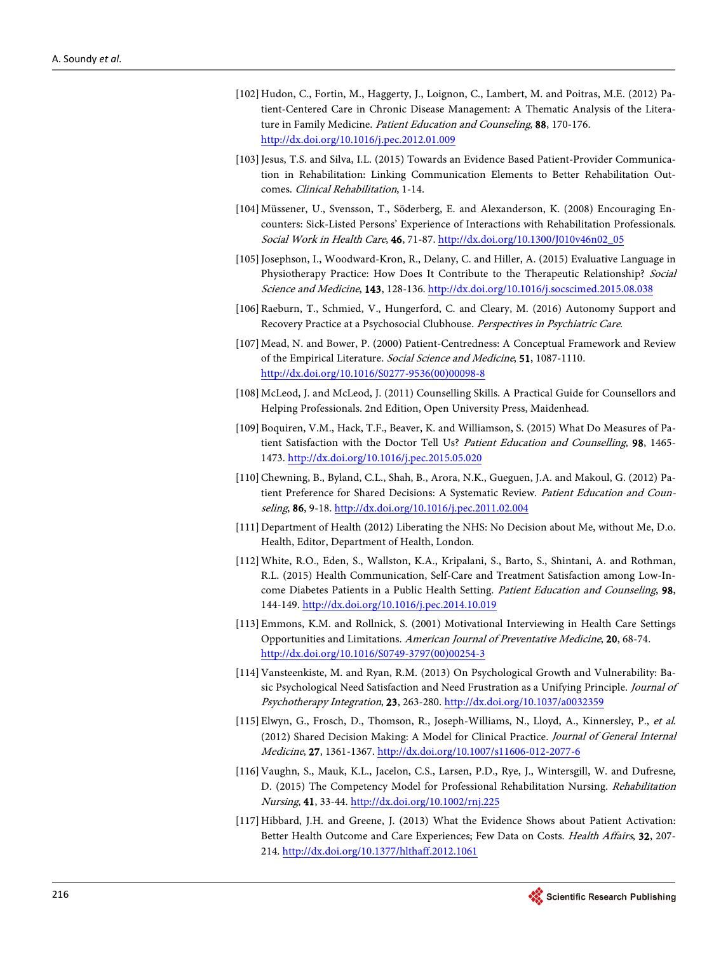- <span id="page-30-0"></span>[102] Hudon, C., Fortin, M., Haggerty, J., Loignon, C., Lambert, M. and Poitras, M.E. (2012) Patient-Centered Care in Chronic Disease Management: A Thematic Analysis of the Literature in Family Medicine. Patient Education and Counseling, 88, 170-176. <http://dx.doi.org/10.1016/j.pec.2012.01.009>
- <span id="page-30-1"></span>[103] Jesus, T.S. and Silva, I.L. (2015) Towards an Evidence Based Patient-Provider Communication in Rehabilitation: Linking Communication Elements to Better Rehabilitation Outcomes. Clinical Rehabilitation, 1-14.
- <span id="page-30-2"></span>[104]Müssener, U., Svensson, T., Söderberg, E. and Alexanderson, K. (2008) Encouraging Encounters: Sick-Listed Persons' Experience of Interactions with Rehabilitation Professionals. Social Work in Health Care, 46, 71-87[. http://dx.doi.org/10.1300/J010v46n02\\_05](http://dx.doi.org/10.1300/J010v46n02_05)
- <span id="page-30-3"></span>[105] Josephson, I., Woodward-Kron, R., Delany, C. and Hiller, A. (2015) Evaluative Language in Physiotherapy Practice: How Does It Contribute to the Therapeutic Relationship? Social Science and Medicine, 143, 128-136[. http://dx.doi.org/10.1016/j.socscimed.2015.08.038](http://dx.doi.org/10.1016/j.socscimed.2015.08.038)
- <span id="page-30-4"></span>[106]Raeburn, T., Schmied, V., Hungerford, C. and Cleary, M. (2016) Autonomy Support and Recovery Practice at a Psychosocial Clubhouse. Perspectives in Psychiatric Care.
- <span id="page-30-5"></span>[107]Mead, N. and Bower, P. (2000) Patient-Centredness: A Conceptual Framework and Review of the Empirical Literature. Social Science and Medicine, 51, 1087-1110. [http://dx.doi.org/10.1016/S0277-9536\(00\)00098-8](http://dx.doi.org/10.1016/S0277-9536(00)00098-8)
- <span id="page-30-6"></span>[108]McLeod, J. and McLeod, J. (2011) Counselling Skills. A Practical Guide for Counsellors and Helping Professionals. 2nd Edition, Open University Press, Maidenhead.
- <span id="page-30-7"></span>[109]Boquiren, V.M., Hack, T.F., Beaver, K. and Williamson, S. (2015) What Do Measures of Patient Satisfaction with the Doctor Tell Us? Patient Education and Counselling, 98, 1465- 1473[. http://dx.doi.org/10.1016/j.pec.2015.05.020](http://dx.doi.org/10.1016/j.pec.2015.05.020)
- <span id="page-30-8"></span>[110] Chewning, B., Byland, C.L., Shah, B., Arora, N.K., Gueguen, J.A. and Makoul, G. (2012) Patient Preference for Shared Decisions: A Systematic Review. Patient Education and Counseling, 86, 9-18[. http://dx.doi.org/10.1016/j.pec.2011.02.004](http://dx.doi.org/10.1016/j.pec.2011.02.004)
- <span id="page-30-9"></span>[111] Department of Health (2012) Liberating the NHS: No Decision about Me, without Me, D.o. Health, Editor, Department of Health, London.
- <span id="page-30-10"></span>[112]White, R.O., Eden, S., Wallston, K.A., Kripalani, S., Barto, S., Shintani, A. and Rothman, R.L. (2015) Health Communication, Self-Care and Treatment Satisfaction among Low-Income Diabetes Patients in a Public Health Setting. Patient Education and Counseling, 98, 144-149[. http://dx.doi.org/10.1016/j.pec.2014.10.019](http://dx.doi.org/10.1016/j.pec.2014.10.019)
- <span id="page-30-11"></span>[113] Emmons, K.M. and Rollnick, S. (2001) Motivational Interviewing in Health Care Settings Opportunities and Limitations. American Journal of Preventative Medicine, 20, 68-74. [http://dx.doi.org/10.1016/S0749-3797\(00\)00254-3](http://dx.doi.org/10.1016/S0749-3797(00)00254-3)
- <span id="page-30-12"></span>[114] Vansteenkiste, M. and Ryan, R.M. (2013) On Psychological Growth and Vulnerability: Basic Psychological Need Satisfaction and Need Frustration as a Unifying Principle. Journal of Psychotherapy Integration, 23, 263-280[. http://dx.doi.org/10.1037/a0032359](http://dx.doi.org/10.1037/a0032359)
- <span id="page-30-13"></span>[115] Elwyn, G., Frosch, D., Thomson, R., Joseph-Williams, N., Lloyd, A., Kinnersley, P., et al. (2012) Shared Decision Making: A Model for Clinical Practice. Journal of General Internal Medicine, 27, 1361-1367. <http://dx.doi.org/10.1007/s11606-012-2077-6>
- <span id="page-30-14"></span>[116] Vaughn, S., Mauk, K.L., Jacelon, C.S., Larsen, P.D., Rye, J., Wintersgill, W. and Dufresne, D. (2015) The Competency Model for Professional Rehabilitation Nursing. Rehabilitation Nursing, 41, 33-44.<http://dx.doi.org/10.1002/rnj.225>
- <span id="page-30-15"></span>[117]Hibbard, J.H. and Greene, J. (2013) What the Evidence Shows about Patient Activation: Better Health Outcome and Care Experiences; Few Data on Costs. Health Affairs, 32, 207- 214.<http://dx.doi.org/10.1377/hlthaff.2012.1061>